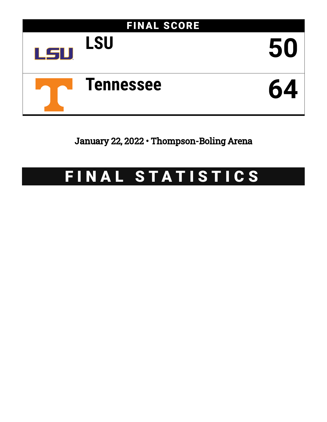

January 22, 2022 • Thompson-Boling Arena

# FINAL STATISTICS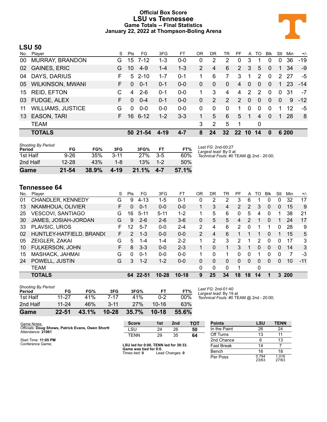#### **Official Box Score LSU vs Tennessee Game Totals -- Final Statistics January 22, 2022 at Thompson-Boling Arena**



#### **LSU 50**

|                          | S      | Pts      | FG      | 3FG                                        | FТ      | 0R          | DR       | TR              | PF             | A              | TO             | <b>Blk</b>     | Stl      | Min | $+/-$                                 |
|--------------------------|--------|----------|---------|--------------------------------------------|---------|-------------|----------|-----------------|----------------|----------------|----------------|----------------|----------|-----|---------------------------------------|
| <b>MURRAY, BRANDON</b>   | G      |          |         | $1 - 3$                                    | $0 - 0$ | 0           | 2        | 2               | $\Omega$       | 3              |                | $\Omega$       | 0        | 36  | $-19$                                 |
| <b>GAINES, ERIC</b>      | G      | 10       | $4 - 9$ | $1 - 4$                                    | $1 - 3$ | 2           | 4        | 6               | $\mathcal{P}$  | 3              | 5              | $\Omega$       | 1.       | 34  | $-9$                                  |
| DAYS, DARIUS             | F.     | 5        |         | $1 - 7$                                    | $0 - 1$ |             | 6        | 7               | 3              |                | 2              | $\mathbf{0}$   |          | 27  | -5                                    |
| <b>WILKINSON, MWANI</b>  | F.     | $\Omega$ | $0 - 1$ | $0 - 1$                                    | $0 - 0$ | 0           | $\Omega$ | $\mathbf{0}$    | $\overline{4}$ | $\overline{0}$ | $\overline{0}$ | $\overline{0}$ | 1        | 23  | $-14$                                 |
| <b>REID, EFTON</b>       | C      | 4        | $2 - 6$ | $0 - 1$                                    | $0-0$   | $\mathbf 1$ | 3        | 4               | $\overline{4}$ | $\overline{2}$ | $\mathcal{P}$  | $\Omega$       | $\Omega$ | 31  | $-7$                                  |
| <b>FUDGE, ALEX</b>       | F.     | $\Omega$ | $0 - 4$ | $0 - 1$                                    | $0 - 0$ | 0           | 2        | 2               | $\mathcal{P}$  | $\Omega$       | $\Omega$       | $\Omega$       | $\Omega$ | -9  | $-12$                                 |
| <b>WILLIAMS, JUSTICE</b> | G      | 0        | $0-0$   | $0-0$                                      | $0 - 0$ | 0           | $\Omega$ | $\Omega$        | 1              | 0              | $\Omega$       | $\Omega$       |          | 12  | -5                                    |
| <b>EASON, TARI</b>       | F.     |          |         | $1 - 2$                                    | $3 - 3$ |             | 5        | 6               | 5              | $-1$           | 4              | $\Omega$       |          | -28 | 8                                     |
| <b>TEAM</b>              |        |          |         |                                            |         | 3           | 2        | 5               | 1              |                | 0              |                |          |     |                                       |
| <b>TOTALS</b>            |        |          |         | $4 - 19$                                   | $4 - 7$ | 8           | 24       | 32 <sub>2</sub> |                |                |                | $\bf{0}$       |          |     |                                       |
|                          | Player |          |         | 15 7-12<br>$2 - 10$<br>16 6-12<br>50 21-54 |         |             |          |                 |                |                | $22 \t10$      | 14             |          |     | $\mathbf{2}$<br>$\mathbf{1}$<br>6 200 |

| <b>Shooting By Period</b><br>Period | FG        | FG%   | 3FG      | 3FG%  | FТ      | FT%   |
|-------------------------------------|-----------|-------|----------|-------|---------|-------|
| 1st Half                            | $9 - 26$  | 35%   | $3 - 11$ | 27%   | $3 - 5$ | 60%   |
| 2nd Half                            | $12 - 28$ | 43%   | 1-8      | 13%   | $1 - 2$ | 50%   |
| Game                                | $21 - 54$ | 38.9% | 4-19     | 21.1% | $4 - 7$ | 57.1% |

*Last FG:* 2nd-00:27 *Largest lead:* By 0 at *Technical Fouls:* #0 TEAM @ 2nd - 20:00;

#### **Tennessee 64**

| No. | Player                   | S  | Pts           | FG.      | 3FG       | FТ        | OR          | DR       | TR       | PF | A        | TO. | <b>B</b> lk  | Stl      | Min  | $+/-$ |
|-----|--------------------------|----|---------------|----------|-----------|-----------|-------------|----------|----------|----|----------|-----|--------------|----------|------|-------|
| 01  | CHANDLER, KENNEDY        | G  | 9             | $4 - 13$ | 1-5       | $0 - 1$   | 0           | 2        | 2        | 3  | 6        |     | 0            | 0        | 32   | 17    |
| 13  | NKAMHOUA, OLIVIER        | F  | 0             | $0 - 1$  | $0 - 0$   | $0 - 0$   | $\mathbf 1$ | 3        | 4        | 2  | 2        | 3   | $\mathbf{0}$ | $\Omega$ | 15   | 9     |
| 25  | <b>VESCOVI, SANTIAGO</b> | G  | 16            | $5 - 11$ | $5 - 11$  | $1 - 2$   | 1.          | 5        | 6        | 0  | 5        | 4   | 0            |          | 38   | 21    |
| 30  | JAMES, JOSIAH-JORDAN     | G  | 9             | $2-6$    | $2-6$     | $3-6$     | 0           | 5        | 5.       | 4  | 2        |     | $\Omega$     |          | 24   | 17    |
| 33  | PLAVSIC, UROS            | F  | 12            | $5 - 7$  | $0 - 0$   | $2 - 4$   | 2           | 4        | 6        | 2  | 0        |     |              | 0        | 28   | 9     |
| 02  | HUNTLEY-HATFIELD, BRAND( | F. | $\mathcal{P}$ | $1 - 3$  | $0 - 0$   | $0 - 0$   | 2           | 4        | 6        |    |          |     | 0            |          | 15   | 5     |
| 05  | ZEIGLER, ZAKAI           | G  | 5.            | 1-4      | 1-4       | $2 - 2$   | 1           | 2        | 3        | 2  | 1        | 2   | 0            | 0        | 17   | 3     |
| 10  | FULKERSON, JOHN          | F. | 8             | $3 - 3$  | $0 - 0$   | $2 - 3$   | 1.          | $\Omega$ | 1        | 3  | 1        | 0   | $\Omega$     | $\Omega$ | 14   | 3     |
| 15  | MASHACK, JAHMAI          | G  | 0             | $0 - 1$  | $0 - 0$   | $0 - 0$   | 1.          | $\Omega$ |          | 0  | 0        |     | $\Omega$     | 0        | 7    | -3    |
| 24  | POWELL, JUSTIN           | G  | 3             | $1 - 2$  | $1-2$     | $0 - 0$   | 0           | 0        | $\Omega$ | 0  | $\Omega$ | 0   | $\Omega$     | $\Omega$ | 10   | $-11$ |
|     | <b>TEAM</b>              |    |               |          |           |           | 0           | 0        | $\Omega$ |    |          | 0   |              |          |      |       |
|     | <b>TOTALS</b>            |    |               | 64 22-51 | $10 - 28$ | $10 - 18$ | 9           | 25       | 34       | 18 | 18       | 14  |              |          | 3200 |       |
|     |                          |    |               |          |           |           |             |          |          |    |          |     |              |          |      |       |

| Game                                | $22 - 51$ | 43.1% | $10 - 28$ | 35.7% | $10 - 18$ | 55.6%  |  |
|-------------------------------------|-----------|-------|-----------|-------|-----------|--------|--|
| 2nd Half                            | $11 - 24$ | 46%   | $3 - 11$  | 27%   | $10 - 16$ | 63%    |  |
| 1st Half                            | 11-27     | 41%   | 7-17      | 41%   | 0-2       | $00\%$ |  |
| <b>Shooting By Period</b><br>Period | FG        | FG%   | 3FG       | 3FG%  | FT        | FT%    |  |

*Last FG:* 2nd-01:40 *Largest lead:* By 19 at *Technical Fouls:* #0 TEAM @ 2nd - 20:00;

| Game Notes:                                                            | <b>Score</b>                            | 1st | 2 <sub>nd</sub> | тот               | <b>Points</b> | <b>LSU</b>     | <b>TENN</b>    |
|------------------------------------------------------------------------|-----------------------------------------|-----|-----------------|-------------------|---------------|----------------|----------------|
| Officials: Doug Shows, Patrick Evans, Owen Shortt<br>Attendance: 21061 | LSU                                     | 24  | 26              | 50                | In the Paint  | 26             | 24             |
|                                                                        | TENN                                    | 29  | 35              | 64                | Off Turns     | 13             |                |
| Start Time: 11:05 PM                                                   |                                         |     |                 |                   | 2nd Chance    |                | 13             |
| Conference Game:                                                       | LSU led for 0:00. TENN led for 39:33.   |     |                 | <b>Fast Break</b> | 14            |                |                |
|                                                                        | Game was tied for 0:0.<br>Times tied: 0 |     | Lead Changes: 0 |                   | Bench         | 16             | 18             |
|                                                                        |                                         |     |                 |                   | Per Poss      | 0.794<br>23/63 | 1.016<br>27/63 |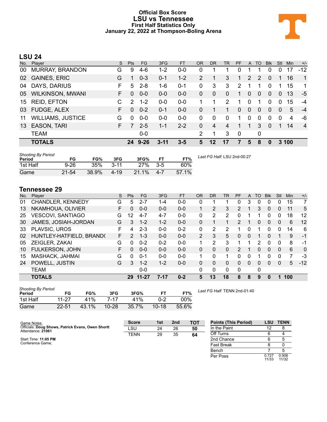#### **Official Box Score LSU vs Tennessee First Half Statistics Only January 22, 2022 at Thompson-Boling Arena**



### **LSU 24**

| No. | Player                   | S. | Pts           | <b>FG</b> | 3FG      | <b>FT</b> | <b>OR</b> | DR           | TR           | <b>PF</b>   | $\mathsf{A}$   | TO          | <b>BIK</b>     | Stl            | <b>Min</b> | $+/-$          |
|-----|--------------------------|----|---------------|-----------|----------|-----------|-----------|--------------|--------------|-------------|----------------|-------------|----------------|----------------|------------|----------------|
| 00  | <b>MURRAY, BRANDON</b>   | G  | 9             | $4-6$     | $1 - 2$  | 0-0       | 0         | 1            | 1            | 0           |                |             | 0              | 0              | 17         | $-12$          |
| 02  | <b>GAINES, ERIC</b>      | G  |               | $0 - 3$   | $0 - 1$  | $1 - 2$   | 2         |              | 3            | 1           | 2              | 2           | $\Omega$       |                | 16         | $\mathbf{1}$   |
| 04  | DAYS, DARIUS             | F  | 5             | $2 - 8$   | $1 - 6$  | $0 - 1$   | 0         | 3            | 3            | 2           | 1              |             | 0              | 1              | 15         | 1              |
| 05  | <b>WILKINSON, MWANI</b>  | F. | $\Omega$      | $0 - 0$   | $0 - 0$  | $0 - 0$   | 0         | $\mathbf{0}$ | $\mathbf{0}$ | 1           | $\overline{0}$ | 0           | $\overline{0}$ | $\mathbf{0}$   | 13         | -5             |
| 15  | <b>REID, EFTON</b>       | C  | $\mathcal{P}$ | $1 - 2$   | $0-0$    | $0-0$     |           | 1            | 2            | 1           | 0              |             | 0              | $\Omega$       | 15         | $-4$           |
| 03  | <b>FUDGE, ALEX</b>       | F  | $\Omega$      | $0 - 2$   | $0 - 1$  | $0-0$     | 0         |              | 1            | 0           | $\overline{0}$ | $\Omega$    | 0              | $\overline{0}$ | 5          | $-4$           |
| 11  | <b>WILLIAMS, JUSTICE</b> | G  | $\Omega$      | $0 - 0$   | $0-0$    | $0-0$     | 0         | $\Omega$     | 0            | 1           | $\Omega$       | $\Omega$    | $\Omega$       | $\Omega$       | 4          | -6             |
| 13  | <b>EASON, TARI</b>       | F. | 7             | $2 - 5$   | $1 - 1$  | $2 - 2$   | 0         | 4            | 4            |             |                | 3           | $\Omega$       |                | 14         | $\overline{4}$ |
|     | <b>TEAM</b>              |    |               | $0-0$     |          |           | 2         | 1            | 3            | $\mathbf 0$ |                | $\mathbf 0$ |                |                |            |                |
|     | <b>TOTALS</b>            |    | 24            | $9 - 26$  | $3 - 11$ | $3 - 5$   | 5         | 12           | 17           |             | 5              | 8           | 0              |                | 3 100      |                |

| <b>Shooting By Period</b><br>Period | FG        | FG%   | 3FG      | 3FG%       | FТ      | FT%   | Last FG Half: LSU 2nd-00:27 |
|-------------------------------------|-----------|-------|----------|------------|---------|-------|-----------------------------|
| 1st Half                            | $9 - 26$  | 35%   | $3 - 11$ | <b>27%</b> | $3-5$   | 60%   |                             |
| Game                                | $21 - 54$ | 38.9% | $4 - 19$ | $21.1\%$   | $4 - 7$ | 57.1% |                             |

### **Tennessee 29**

| No. | Plaver                   | S  | <b>Pts</b>    | <b>FG</b> | 3FG     | <b>FT</b> | <b>OR</b>      | <b>DR</b> | TR       | PF             | A        | TO | <b>B</b> lk    | Stl      | Min | $+/-$    |
|-----|--------------------------|----|---------------|-----------|---------|-----------|----------------|-----------|----------|----------------|----------|----|----------------|----------|-----|----------|
| 01  | CHANDLER, KENNEDY        | G  | 5             | 2-7       | $1 - 4$ | $0-0$     | 0              |           |          | 0              | 3        | 0  | 0              | 0        | 15  | 7        |
| 13  | NKAMHOUA, OLIVIER        | F. | 0             | $0 - 0$   | $0 - 0$ | $0 - 0$   | $\mathbf 1$    | 2         | 3        | $\overline{2}$ | 1        | 3  | $\Omega$       | 0        | 11  | 5        |
| 25  | VESCOVI, SANTIAGO        | G  | 12            | $4 - 7$   | $4 - 7$ | $0 - 0$   | 0              | 2         | 2        | 0              | 1        |    | 0              | 0        | 18  | 12       |
| 30  | JAMES, JOSIAH-JORDAN     | G  | 3             | $1 - 2$   | $1 - 2$ | $0 - 0$   | 0              | 1         |          | $\mathcal{P}$  | 1        | 0  | $\Omega$       | 0        | 6   | 12       |
| 33  | PLAVSIC, UROS            | F  | 4             | $2 - 3$   | $0 - 0$ | $0 - 2$   | $\Omega$       | 2         | 2        |                | 0        |    | 0              | 0        | 14  | 6        |
| 02  | HUNTLEY-HATFIELD, BRAND( | F. | $\mathcal{P}$ | $1 - 3$   | $0 - 0$ | $0 - 0$   | $\overline{2}$ | 3         | 5        | 0              | 0        |    | $\overline{0}$ |          | 9   | $-1$     |
| 05  | ZEIGLER, ZAKAI           | G  | 0             | $0 - 2$   | $0 - 2$ | $0 - 0$   | 1              | 2         | 3        |                | 1        | 2  | 0              | 0        | 8   | -1       |
| 10  | FULKERSON, JOHN          | F. | 0             | $0 - 0$   | $0 - 0$ | $0 - 0$   | 0              | 0         | $\Omega$ | 2              | 1        | 0  | $\Omega$       | $\Omega$ | 6   | $\Omega$ |
| 15  | MASHACK, JAHMAI          | G  | 0             | $0 - 1$   | $0 - 0$ | $0 - 0$   | 1.             | 0         | 1.       | 0              | 0        | 1  | 0              | 0        | 7   | -3       |
| 24  | POWELL, JUSTIN           | G  | $\mathcal{S}$ | $1 - 2$   | $1 - 2$ | $0 - 0$   | 0              | 0         | $\Omega$ | $\Omega$       | $\Omega$ | 0  | $\Omega$       | $\Omega$ | 5   | $-12$    |
|     | <b>TEAM</b>              |    |               | $0 - 0$   |         |           | $\Omega$       | 0         | 0        | $\Omega$       |          | 0  |                |          |     |          |
|     | <b>TOTALS</b>            |    |               | 29 11-27  | $7-17$  | $0 - 2$   | 5              | 13        | 18       | 8              | 8        | 9  | 0              |          | 100 |          |
|     |                          |    |               |           |         |           |                |           |          |                |          |    |                |          |     |          |

| <b>Shooting By Period</b> |           |       |           |       |           |        |
|---------------------------|-----------|-------|-----------|-------|-----------|--------|
| Period                    | FG        | FG%   | 3FG       | 3FG%  |           | FT%    |
| 1st Half                  | $11-27$   | 41%   | 7-17      | 41%   | በ-2       | $00\%$ |
| Game                      | $22 - 51$ | 43.1% | $10 - 28$ | 35.7% | $10 - 18$ | 55.6%  |

*Last FG Half:* TENN 2nd-01:40

| Game Notes:                                       | <b>Score</b> | 1st | 2 <sub>nd</sub> | TOT | <b>Points (This Period)</b> | LSU   | <b>TENN</b> |
|---------------------------------------------------|--------------|-----|-----------------|-----|-----------------------------|-------|-------------|
| Officials: Doug Shows, Patrick Evans, Owen Shortt | LSU          | 24  | 26              | 50  | In the Paint                | 12    |             |
| Attendance: 21061                                 | TENN         | 29  | 35              | 64  | Off Turns                   |       |             |
| Start Time: 11:05 PM                              |              |     |                 |     | 2nd Chance                  |       |             |
| Conference Game:                                  |              |     |                 |     | <b>Fast Break</b>           |       |             |
|                                                   |              |     |                 |     | Bench                       |       |             |
|                                                   |              |     |                 |     | Per Poss                    | 0.727 | 0.906       |

0.727 0.906<br>11/33 11/32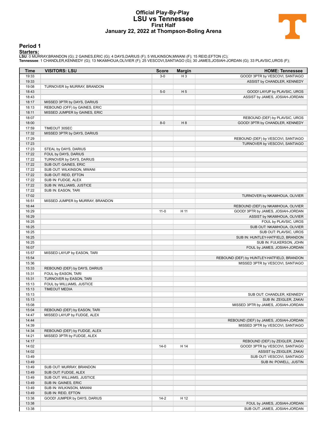#### **Official Play-By-Play LSU vs Tennessee First Half January 22, 2022 at Thompson-Boling Arena**



#### **Period 1**

<mark>Startersː</mark><br>LSU: 0 MURRAY,BRANDON (G); 2 GAINES,ERIC (G); 4 DAYS,DARIUS (F); 5 WILKINSON,MWANI (F); 15 REID,EFTON (C);<br>Tennessee: 1 CHANDLER,KENNEDY (G); 13 NKAMHOUA,OLIVIER (F); 25 VESCOVI,SANTIAGO (G); 30 JAMES,JOSIAH-JO

| Time           | <b>VISITORS: LSU</b>             | <b>Score</b> | <b>Margin</b>  | <b>HOME: Tennessee</b>                     |
|----------------|----------------------------------|--------------|----------------|--------------------------------------------|
| 19:33          |                                  | $3-0$        | $H_3$          | GOOD! 3PTR by VESCOVI, SANTIAGO            |
| 19:33          |                                  |              |                | ASSIST by CHANDLER, KENNEDY                |
| 19:08          | TURNOVER by MURRAY, BRANDON      |              |                |                                            |
| 18:43          |                                  | $5-0$        | H <sub>5</sub> | GOOD! LAYUP by PLAVSIC, UROS               |
| 18:43          |                                  |              |                | ASSIST by JAMES, JOSIAH-JORDAN             |
| 18:17          | MISSED 3PTR by DAYS, DARIUS      |              |                |                                            |
| 18:13          | REBOUND (OFF) by GAINES, ERIC    |              |                |                                            |
| 18:11          | MISSED JUMPER by GAINES, ERIC    |              |                |                                            |
| 18:07          |                                  |              |                | REBOUND (DEF) by PLAVSIC, UROS             |
| 18:00          |                                  | $8-0$        | H <sub>8</sub> | GOOD! 3PTR by CHANDLER, KENNEDY            |
| 17:59          | TIMEOUT 30SEC                    |              |                |                                            |
| 17:32          | MISSED 3PTR by DAYS, DARIUS      |              |                |                                            |
| 17:29          |                                  |              |                | REBOUND (DEF) by VESCOVI, SANTIAGO         |
| 17:23          |                                  |              |                | TURNOVER by VESCOVI, SANTIAGO              |
| 17:23          | STEAL by DAYS, DARIUS            |              |                |                                            |
| 17:22          | FOUL by DAYS, DARIUS             |              |                |                                            |
| 17:22          | TURNOVER by DAYS, DARIUS         |              |                |                                            |
| 17:22          | SUB OUT: GAINES, ERIC            |              |                |                                            |
| 17:22          | SUB OUT: WILKINSON, MWANI        |              |                |                                            |
| 17:22          | SUB OUT: REID, EFTON             |              |                |                                            |
| 17:22<br>17:22 | SUB IN: FUDGE, ALEX              |              |                |                                            |
| 17:22          | SUB IN: WILLIAMS, JUSTICE        |              |                |                                            |
| 17:02          | SUB IN: EASON, TARI              |              |                | TURNOVER by NKAMHOUA, OLIVIER              |
| 16:51          | MISSED JUMPER by MURRAY, BRANDON |              |                |                                            |
| 16:44          |                                  |              |                | REBOUND (DEF) by NKAMHOUA, OLIVIER         |
| 16:29          |                                  | $11-0$       | H 11           | GOOD! 3PTR by JAMES, JOSIAH-JORDAN         |
| 16:29          |                                  |              |                | ASSIST by NKAMHOUA, OLIVIER                |
| 16:25          |                                  |              |                | FOUL by PLAVSIC, UROS                      |
| 16:25          |                                  |              |                | SUB OUT: NKAMHOUA, OLIVIER                 |
| 16:25          |                                  |              |                | SUB OUT: PLAVSIC, UROS                     |
| 16:25          |                                  |              |                | SUB IN: HUNTLEY-HATFIELD, BRANDON          |
| 16:25          |                                  |              |                | SUB IN: FULKERSON, JOHN                    |
| 16:07          |                                  |              |                | FOUL by JAMES, JOSIAH-JORDAN               |
| 15:57          | MISSED LAYUP by EASON, TARI      |              |                |                                            |
| 15:54          |                                  |              |                | REBOUND (DEF) by HUNTLEY-HATFIELD, BRANDON |
| 15:36          |                                  |              |                | MISSED 3PTR by VESCOVI, SANTIAGO           |
| 15:33          | REBOUND (DEF) by DAYS, DARIUS    |              |                |                                            |
| 15:31          | FOUL by EASON, TARI              |              |                |                                            |
| 15:31          | TURNOVER by EASON, TARI          |              |                |                                            |
| 15:13          | FOUL by WILLIAMS, JUSTICE        |              |                |                                            |
| 15:13          | <b>TIMEOUT MEDIA</b>             |              |                |                                            |
| 15:13          |                                  |              |                | SUB OUT: CHANDLER, KENNEDY                 |
| 15:13          |                                  |              |                | SUB IN: ZEIGLER, ZAKAI                     |
| 15:08          |                                  |              |                | MISSED 3PTR by JAMES, JOSIAH-JORDAN        |
| 15:04          | REBOUND (DEF) by EASON, TARI     |              |                |                                            |
| 14:47<br>14:44 | MISSED LAYUP by FUDGE, ALEX      |              |                | REBOUND (DEF) by JAMES, JOSIAH-JORDAN      |
| 14:39          |                                  |              |                | MISSED 3PTR by VESCOVI, SANTIAGO           |
| 14:34          | REBOUND (DEF) by FUDGE, ALEX     |              |                |                                            |
| 14:21          | MISSED 3PTR by FUDGE, ALEX       |              |                |                                            |
| 14:17          |                                  |              |                | REBOUND (DEF) by ZEIGLER, ZAKAI            |
| 14:02          |                                  | $14-0$       | H 14           | GOOD! 3PTR by VESCOVI, SANTIAGO            |
| 14:02          |                                  |              |                | ASSIST by ZEIGLER, ZAKAI                   |
| 13:49          |                                  |              |                | SUB OUT: VESCOVI, SANTIAGO                 |
| 13:49          |                                  |              |                | SUB IN: POWELL, JUSTIN                     |
| 13:49          | SUB OUT: MURRAY, BRANDON         |              |                |                                            |
| 13:49          | SUB OUT: FUDGE, ALEX             |              |                |                                            |
| 13:49          | SUB OUT: WILLIAMS, JUSTICE       |              |                |                                            |
| 13:49          | SUB IN: GAINES, ERIC             |              |                |                                            |
| 13:49          | SUB IN: WILKINSON, MWANI         |              |                |                                            |
| 13:49          | SUB IN: REID, EFTON              |              |                |                                            |
| 13:38          | GOOD! JUMPER by DAYS, DARIUS     | $14 - 2$     | H 12           |                                            |
| 13:38          |                                  |              |                | FOUL by JAMES, JOSIAH-JORDAN               |
| 13:38          |                                  |              |                | SUB OUT: JAMES, JOSIAH-JORDAN              |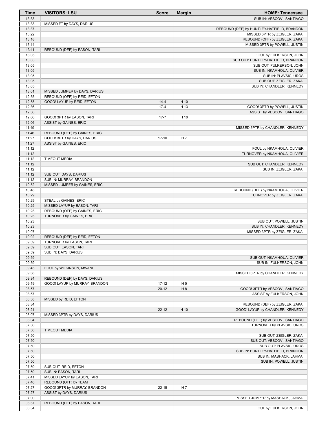| <b>Time</b>    | <b>VISITORS: LSU</b>           | <b>Score</b> | <b>Margin</b>  | <b>HOME: Tennessee</b>                                      |
|----------------|--------------------------------|--------------|----------------|-------------------------------------------------------------|
| 13:38          |                                |              |                | SUB IN: VESCOVI, SANTIAGO                                   |
| 13:38          | MISSED FT by DAYS, DARIUS      |              |                |                                                             |
| 13:37          |                                |              |                | REBOUND (DEF) by HUNTLEY-HATFIELD, BRANDON                  |
| 13:22          |                                |              |                | MISSED 3PTR by ZEIGLER, ZAKAI                               |
| 13:18          |                                |              |                | REBOUND (OFF) by ZEIGLER, ZAKAI                             |
| 13:14<br>13:11 | REBOUND (DEF) by EASON, TARI   |              |                | MISSED 3PTR by POWELL, JUSTIN                               |
| 13:05          |                                |              |                | FOUL by FULKERSON, JOHN                                     |
| 13:05          |                                |              |                | SUB OUT: HUNTLEY-HATFIELD, BRANDON                          |
| 13:05          |                                |              |                | SUB OUT: FULKERSON, JOHN                                    |
| 13:05          |                                |              |                | SUB IN: NKAMHOUA, OLIVIER                                   |
| 13:05          |                                |              |                | SUB IN: PLAVSIC, UROS                                       |
| 13:05          |                                |              |                | SUB OUT: ZEIGLER, ZAKAI                                     |
| 13:05          |                                |              |                | SUB IN: CHANDLER, KENNEDY                                   |
| 13:01          | MISSED JUMPER by DAYS, DARIUS  |              |                |                                                             |
| 12:55          | REBOUND (OFF) by REID, EFTON   |              |                |                                                             |
| 12:55          | GOOD! LAYUP by REID, EFTON     | $14 - 4$     | H 10           |                                                             |
| 12:36          |                                | $17 - 4$     | H 13           | GOOD! 3PTR by POWELL, JUSTIN                                |
| 12:36<br>12:06 | GOOD! 3PTR by EASON, TARI      | $17 - 7$     | H 10           | ASSIST by VESCOVI, SANTIAGO                                 |
| 12:06          | ASSIST by GAINES, ERIC         |              |                |                                                             |
| 11:49          |                                |              |                | MISSED 3PTR by CHANDLER, KENNEDY                            |
| 11:46          | REBOUND (DEF) by GAINES, ERIC  |              |                |                                                             |
| 11:27          | GOOD! 3PTR by DAYS, DARIUS     | $17-10$      | H 7            |                                                             |
| 11:27          | ASSIST by GAINES, ERIC         |              |                |                                                             |
| 11:12          |                                |              |                | FOUL by NKAMHOUA, OLIVIER                                   |
| 11:12          |                                |              |                | TURNOVER by NKAMHOUA, OLIVIER                               |
| 11:12          | <b>TIMEOUT MEDIA</b>           |              |                |                                                             |
| 11:12          |                                |              |                | SUB OUT: CHANDLER, KENNEDY                                  |
| 11:12          |                                |              |                | SUB IN: ZEIGLER, ZAKAI                                      |
| 11:12          | SUB OUT: DAYS, DARIUS          |              |                |                                                             |
| 11:12          | SUB IN: MURRAY, BRANDON        |              |                |                                                             |
| 10:52          | MISSED JUMPER by GAINES, ERIC  |              |                |                                                             |
| 10:48          |                                |              |                | REBOUND (DEF) by NKAMHOUA, OLIVIER                          |
| 10:29<br>10:29 | STEAL by GAINES, ERIC          |              |                | TURNOVER by ZEIGLER, ZAKAI                                  |
| 10:25          | MISSED LAYUP by EASON, TARI    |              |                |                                                             |
| 10:23          | REBOUND (OFF) by GAINES, ERIC  |              |                |                                                             |
| 10:23          | TURNOVER by GAINES, ERIC       |              |                |                                                             |
| 10:23          |                                |              |                | SUB OUT: POWELL, JUSTIN                                     |
| 10:23          |                                |              |                | SUB IN: CHANDLER, KENNEDY                                   |
| 10:07          |                                |              |                | MISSED 3PTR by ZEIGLER, ZAKAI                               |
| 10:02          | REBOUND (DEF) by REID, EFTON   |              |                |                                                             |
| 09:59          | TURNOVER by EASON, TARI        |              |                |                                                             |
| 09:59          | SUB OUT: EASON, TARI           |              |                |                                                             |
| 09:59          | SUB IN: DAYS, DARIUS           |              |                |                                                             |
| 09:59          |                                |              |                | SUB OUT: NKAMHOUA, OLIVIER                                  |
| 09:59<br>09:43 |                                |              |                | SUB IN: FULKERSON, JOHN                                     |
| 09:38          | FOUL by WILKINSON, MWANI       |              |                | MISSED 3PTR by CHANDLER, KENNEDY                            |
| 09:34          | REBOUND (DEF) by DAYS, DARIUS  |              |                |                                                             |
| 09:19          | GOOD! LAYUP by MURRAY, BRANDON | $17 - 12$    | H <sub>5</sub> |                                                             |
| 08:57          |                                | $20 - 12$    | H 8            | GOOD! 3PTR by VESCOVI, SANTIAGO                             |
| 08:57          |                                |              |                | ASSIST by FULKERSON, JOHN                                   |
| 08:38          | MISSED by REID, EFTON          |              |                |                                                             |
| 08:34          |                                |              |                | REBOUND (DEF) by ZEIGLER, ZAKAI                             |
| 08:21          |                                | $22 - 12$    | H 10           | GOOD! LAYUP by CHANDLER, KENNEDY                            |
| 08:07          | MISSED 3PTR by DAYS, DARIUS    |              |                |                                                             |
| 08:04          |                                |              |                | REBOUND (DEF) by VESCOVI, SANTIAGO                          |
| 07:50          |                                |              |                | TURNOVER by PLAVSIC, UROS                                   |
| 07:50          | <b>TIMEOUT MEDIA</b>           |              |                |                                                             |
| 07:50          |                                |              |                | SUB OUT: ZEIGLER, ZAKAI                                     |
| 07:50          |                                |              |                | SUB OUT: VESCOVI, SANTIAGO                                  |
| 07:50<br>07:50 |                                |              |                | SUB OUT: PLAVSIC, UROS<br>SUB IN: HUNTLEY-HATFIELD, BRANDON |
| 07:50          |                                |              |                | SUB IN: MASHACK, JAHMAI                                     |
| 07:50          |                                |              |                | SUB IN: POWELL, JUSTIN                                      |
| 07:50          | SUB OUT: REID, EFTON           |              |                |                                                             |
| 07:50          | SUB IN: EASON, TARI            |              |                |                                                             |
| 07:41          | MISSED LAYUP by EASON, TARI    |              |                |                                                             |
| 07:40          | REBOUND (OFF) by TEAM          |              |                |                                                             |
| 07:27          | GOOD! 3PTR by MURRAY, BRANDON  | $22 - 15$    | H 7            |                                                             |
| 07:27          | ASSIST by DAYS, DARIUS         |              |                |                                                             |
| 07:00          |                                |              |                | MISSED JUMPER by MASHACK, JAHMAI                            |
| 06:57          | REBOUND (DEF) by EASON, TARI   |              |                |                                                             |
| 06:54          |                                |              |                | FOUL by FULKERSON, JOHN                                     |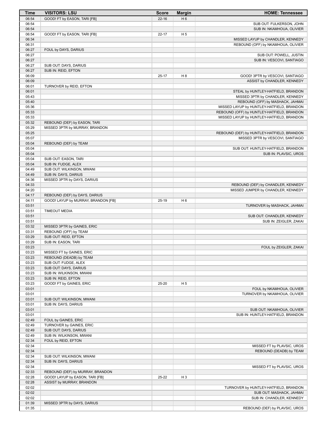| <b>Time</b>    | <b>VISITORS: LSU</b>                                           | <b>Score</b> | <b>Margin</b>  | <b>HOME: Tennessee</b>                     |
|----------------|----------------------------------------------------------------|--------------|----------------|--------------------------------------------|
| 06:54          | GOOD! FT by EASON, TARI [FB]                                   | $22 - 16$    | H <sub>6</sub> |                                            |
| 06:54          |                                                                |              |                | SUB OUT: FULKERSON, JOHN                   |
| 06:54          |                                                                |              |                | SUB IN: NKAMHOUA, OLIVIER                  |
| 06:54          | GOOD! FT by EASON, TARI [FB]                                   | $22 - 17$    | H <sub>5</sub> |                                            |
| 06:34          |                                                                |              |                | MISSED LAYUP by CHANDLER, KENNEDY          |
| 06:31<br>06:27 | FOUL by DAYS, DARIUS                                           |              |                | REBOUND (OFF) by NKAMHOUA, OLIVIER         |
| 06:27          |                                                                |              |                | SUB OUT: POWELL, JUSTIN                    |
| 06:27          |                                                                |              |                | SUB IN: VESCOVI, SANTIAGO                  |
| 06:27          | SUB OUT: DAYS, DARIUS                                          |              |                |                                            |
| 06:27          | SUB IN: REID, EFTON                                            |              |                |                                            |
| 06:09          |                                                                | $25 - 17$    | H 8            | GOOD! 3PTR by VESCOVI, SANTIAGO            |
| 06:09          |                                                                |              |                | ASSIST by CHANDLER, KENNEDY                |
| 06:01          | TURNOVER by REID, EFTON                                        |              |                |                                            |
| 06:01          |                                                                |              |                | STEAL by HUNTLEY-HATFIELD, BRANDON         |
| 05:43          |                                                                |              |                | MISSED 3PTR by CHANDLER, KENNEDY           |
| 05:40          |                                                                |              |                | REBOUND (OFF) by MASHACK, JAHMAI           |
| 05:36          |                                                                |              |                | MISSED LAYUP by HUNTLEY-HATFIELD, BRANDON  |
| 05:33          |                                                                |              |                | REBOUND (OFF) by HUNTLEY-HATFIELD, BRANDON |
| 05:33<br>05:32 |                                                                |              |                | MISSED LAYUP by HUNTLEY-HATFIELD, BRANDON  |
| 05:29          | REBOUND (DEF) by EASON, TARI<br>MISSED 3PTR by MURRAY, BRANDON |              |                |                                            |
| 05:25          |                                                                |              |                | REBOUND (DEF) by HUNTLEY-HATFIELD, BRANDON |
| 05:07          |                                                                |              |                | MISSED 3PTR by VESCOVI, SANTIAGO           |
| 05:04          | REBOUND (DEF) by TEAM                                          |              |                |                                            |
| 05:04          |                                                                |              |                | SUB OUT: HUNTLEY-HATFIELD, BRANDON         |
| 05:04          |                                                                |              |                | SUB IN: PLAVSIC, UROS                      |
| 05:04          | SUB OUT: EASON, TARI                                           |              |                |                                            |
| 05:04          | SUB IN: FUDGE, ALEX                                            |              |                |                                            |
| 04:49          | SUB OUT: WILKINSON, MWANI                                      |              |                |                                            |
| 04:49          | SUB IN: DAYS, DARIUS                                           |              |                |                                            |
| 04:36          | MISSED 3PTR by DAYS, DARIUS                                    |              |                |                                            |
| 04:33          |                                                                |              |                | REBOUND (DEF) by CHANDLER, KENNEDY         |
| 04:20          |                                                                |              |                | MISSED JUMPER by CHANDLER, KENNEDY         |
| 04:17          | REBOUND (DEF) by DAYS, DARIUS                                  |              |                |                                            |
| 04:11          | GOOD! LAYUP by MURRAY, BRANDON [FB]                            | $25-19$      | H <sub>6</sub> |                                            |
| 03:51<br>03:51 | <b>TIMEOUT MEDIA</b>                                           |              |                | TURNOVER by MASHACK, JAHMAI                |
| 03:51          |                                                                |              |                | SUB OUT: CHANDLER, KENNEDY                 |
| 03:51          |                                                                |              |                | SUB IN: ZEIGLER, ZAKAI                     |
| 03:32          | MISSED 3PTR by GAINES, ERIC                                    |              |                |                                            |
| 03:31          | REBOUND (OFF) by TEAM                                          |              |                |                                            |
| 03:29          | SUB OUT: REID, EFTON                                           |              |                |                                            |
| 03:29          | SUB IN: EASON, TARI                                            |              |                |                                            |
| 03:23          |                                                                |              |                | FOUL by ZEIGLER, ZAKAI                     |
| 03:23          | MISSED FT by GAINES, ERIC                                      |              |                |                                            |
| 03:23          | REBOUND (DEADB) by TEAM                                        |              |                |                                            |
| 03:23          | SUB OUT: FUDGE, ALEX                                           |              |                |                                            |
| 03:23          | SUB OUT: DAYS, DARIUS                                          |              |                |                                            |
| 03:23          | SUB IN: WILKINSON, MWANI                                       |              |                |                                            |
| 03:23          | SUB IN: REID, EFTON                                            |              |                |                                            |
| 03:23<br>03:01 | GOOD! FT by GAINES, ERIC                                       | 25-20        | H <sub>5</sub> | FOUL by NKAMHOUA, OLIVIER                  |
| 03:01          |                                                                |              |                | TURNOVER by NKAMHOUA, OLIVIER              |
| 03:01          | SUB OUT: WILKINSON, MWANI                                      |              |                |                                            |
| 03:01          | SUB IN: DAYS, DARIUS                                           |              |                |                                            |
| 03:01          |                                                                |              |                | SUB OUT: NKAMHOUA, OLIVIER                 |
| 03:01          |                                                                |              |                | SUB IN: HUNTLEY-HATFIELD, BRANDON          |
| 02:49          | FOUL by GAINES, ERIC                                           |              |                |                                            |
| 02:49          | TURNOVER by GAINES, ERIC                                       |              |                |                                            |
| 02:49          | SUB OUT: DAYS, DARIUS                                          |              |                |                                            |
| 02:49          | SUB IN: WILKINSON, MWANI                                       |              |                |                                            |
| 02:34          | FOUL by REID, EFTON                                            |              |                |                                            |
| 02:34          |                                                                |              |                | MISSED FT by PLAVSIC, UROS                 |
| 02:34          |                                                                |              |                | REBOUND (DEADB) by TEAM                    |
| 02:34          | SUB OUT: WILKINSON, MWANI                                      |              |                |                                            |
| 02:34<br>02:34 | SUB IN: DAYS, DARIUS                                           |              |                |                                            |
| 02:33          | REBOUND (DEF) by MURRAY, BRANDON                               |              |                | MISSED FT by PLAVSIC, UROS                 |
| 02:28          | GOOD! LAYUP by EASON, TARI [FB]                                | 25-22        | H <sub>3</sub> |                                            |
| 02:28          | ASSIST by MURRAY, BRANDON                                      |              |                |                                            |
| 02:02          |                                                                |              |                | TURNOVER by HUNTLEY-HATFIELD, BRANDON      |
| 02:02          |                                                                |              |                | SUB OUT: MASHACK, JAHMAI                   |
| 02:02          |                                                                |              |                | SUB IN: CHANDLER, KENNEDY                  |
| 01:39          | MISSED 3PTR by DAYS, DARIUS                                    |              |                |                                            |
| 01:35          |                                                                |              |                | REBOUND (DEF) by PLAVSIC, UROS             |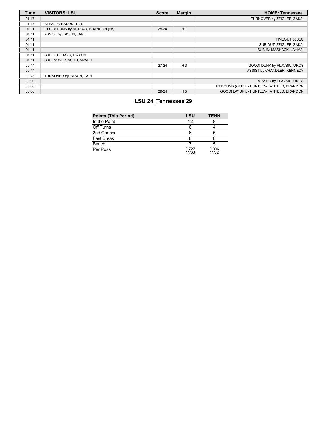| <b>Time</b> | <b>VISITORS: LSU</b>               | <b>Score</b> | <b>Margin</b>  | <b>HOME: Tennessee</b>                     |
|-------------|------------------------------------|--------------|----------------|--------------------------------------------|
| 01:17       |                                    |              |                | TURNOVER by ZEIGLER, ZAKAI                 |
| 01:17       | STEAL by EASON, TARI               |              |                |                                            |
| 01:11       | GOOD! DUNK by MURRAY, BRANDON [FB] | $25 - 24$    | H <sub>1</sub> |                                            |
| 01:11       | ASSIST by EASON, TARI              |              |                |                                            |
| 01:11       |                                    |              |                | TIMEOUT 30SEC                              |
| 01:11       |                                    |              |                | SUB OUT: ZEIGLER, ZAKAI                    |
| 01:11       |                                    |              |                | SUB IN: MASHACK, JAHMAI                    |
| 01:11       | SUB OUT: DAYS, DARIUS              |              |                |                                            |
| 01:11       | SUB IN: WILKINSON, MWANI           |              |                |                                            |
| 00:44       |                                    | $27 - 24$    | $H_3$          | GOOD! DUNK by PLAVSIC, UROS                |
| 00:44       |                                    |              |                | ASSIST by CHANDLER, KENNEDY                |
| 00:23       | TURNOVER by EASON, TARI            |              |                |                                            |
| 00:00       |                                    |              |                | MISSED by PLAVSIC, UROS                    |
| 00:00       |                                    |              |                | REBOUND (OFF) by HUNTLEY-HATFIELD, BRANDON |
| 00:00       |                                    | 29-24        | H <sub>5</sub> | GOOD! LAYUP by HUNTLEY-HATFIELD. BRANDON   |

#### **LSU 24, Tennessee 29**

| <b>Points (This Period)</b> | LSU            | <b>TENN</b>    |
|-----------------------------|----------------|----------------|
| In the Paint                | 12             |                |
| Off Turns                   | 6              |                |
| 2nd Chance                  | 6              |                |
| <b>Fast Break</b>           |                |                |
| Bench                       |                |                |
| Per Poss                    | 0.727<br>11/33 | 0.906<br>11/32 |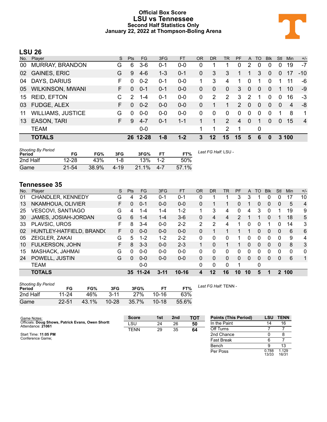#### **Official Box Score LSU vs Tennessee Second Half Statistics Only January 22, 2022 at Thompson-Boling Arena**



#### **LSU 26**

| No. | Plaver                   | S. | <b>Pts</b>    | FG.      | 3FG     | <b>FT</b> | OR | <b>DR</b>   | <b>TR</b>    | <b>PF</b> | $\mathsf{A}$   | TO | <b>B</b> lk    | Stl      | <b>Min</b>     | $+/-$          |
|-----|--------------------------|----|---------------|----------|---------|-----------|----|-------------|--------------|-----------|----------------|----|----------------|----------|----------------|----------------|
| 00  | <b>MURRAY, BRANDON</b>   | G  | 6             | $3-6$    | 0-1     | $0 - 0$   | 0  |             |              | $\Omega$  | 2              | 0  | 0              | 0        | 19             | $-7$           |
| 02  | <b>GAINES, ERIC</b>      | G  | 9             | $4-6$    | $1 - 3$ | $0 - 1$   | 0  | 3           | 3            |           |                | 3  | $\Omega$       | 0        | 17             | $-10$          |
| 04  | DAYS, DARIUS             | F  | $\Omega$      | $0 - 2$  | 0-1     | $0 - 0$   | 1  | 3           | 4            | 1         | 0              | 1  | 0              |          | 11             | -6             |
| 05  | <b>WILKINSON, MWANI</b>  | F. | $\Omega$      | $0 - 1$  | $0 - 1$ | $0-0$     | 0  | 0           | 0            | 3         | $\overline{0}$ | 0  | $\overline{0}$ |          | 10             | -9             |
| 15  | <b>REID, EFTON</b>       |    | $\mathcal{P}$ | $1 - 4$  | $0 - 1$ | $0-0$     | 0  | 2           | 2            | 3         | 2              | 1  | $\Omega$       | $\Omega$ | 16             | $-3$           |
| 03  | FUDGE, ALEX              | F. | $\Omega$      | $0 - 2$  | $0 - 0$ | $0 - 0$   | 0  |             |              | 2         | 0              | 0  | $\overline{0}$ | $\Omega$ | $\overline{4}$ | -8             |
| 11  | <b>WILLIAMS, JUSTICE</b> | G  | $\Omega$      | $0 - 0$  | $0 - 0$ | $0 - 0$   | 0  | $\mathbf 0$ | $\mathbf{0}$ | 0         | $\mathbf{0}$   | 0  | $\Omega$       | 1        | 8              | $\mathbf 1$    |
| 13  | <b>EASON, TARI</b>       | F. | 9             | $4 - 7$  | $0 - 1$ | $1 - 1$   |    | 1           | 2            | 4         | $\mathbf{0}$   |    | $\Omega$       | 0        | 15             | $\overline{4}$ |
|     | <b>TEAM</b>              |    |               | $0-0$    |         |           | 1  | 1           | 2            | 1         |                | 0  |                |          |                |                |
|     | <b>TOTALS</b>            |    |               | 26 12-28 | 1-8     | $1 - 2$   | 3  | 12          | 15           | 15        | 5              | 6  | 0              |          | 3 100          |                |

| Shooting By Period<br><b>Period</b> | FG        | FG%   | 3FG      | 3FG%  | FТ      | FT%   | Last FG Half: LSU - |
|-------------------------------------|-----------|-------|----------|-------|---------|-------|---------------------|
| 2nd Half                            | 12-28     | 43%   | $1 - 8$  | 13%   | $1 - 2$ | 50%   |                     |
| Game                                | $21 - 54$ | 38.9% | $4 - 19$ | 21.1% | $4 - 7$ | 57.1% |                     |

#### **Tennessee 35**

| No. | Plaver                   | S  | <b>Pts</b> | FG.       | 3FG      | <b>FT</b> | <b>OR</b> | <b>DR</b> | TR           | PF            | $\mathsf{A}$ | <b>TO</b> | <b>Blk</b>     | Stl      | Min      | $+/-$          |
|-----|--------------------------|----|------------|-----------|----------|-----------|-----------|-----------|--------------|---------------|--------------|-----------|----------------|----------|----------|----------------|
| 01  | CHANDLER, KENNEDY        | G  | 4          | $2-6$     | $0 - 1$  | $0 - 1$   | 0         |           |              | 3             | 3            |           | 0              | Ω        | 17       | 10             |
| 13  | NKAMHOUA, OLIVIER        | F  | 0          | $0 - 1$   | $0 - 0$  | $0 - 0$   | 0         |           |              | 0             |              | 0         | $\overline{0}$ | 0        | 5        | $\overline{4}$ |
| 25  | <b>VESCOVI, SANTIAGO</b> | G  | 4          | 1-4       | 1-4      | $1 - 2$   | 1         | 3         | 4            | 0             | 4            | 3         | 0              |          | 19       | 9              |
| 30  | JAMES, JOSIAH-JORDAN     | G  | 6          | 1-4       | $1 - 4$  | $3-6$     | $\Omega$  | 4         | 4            | $\mathcal{P}$ |              |           | 0              |          | 18       | 5              |
| 33  | PLAVSIC, UROS            | F  | 8          | $3 - 4$   | $0 - 0$  | $2 - 2$   | 2         | 2         | 4            |               | 0            | 0         |                | ŋ        | 14       | 3              |
| 02  | HUNTLEY-HATFIELD, BRAND( | F  | 0          | $0 - 0$   | $0 - 0$  | $0 - 0$   | 0         |           |              |               | 1            | 0         | $\Omega$       | $\Omega$ | 6        | 6              |
| 05  | ZEIGLER, ZAKAI           | G  | 5          | $1 - 2$   | $1-2$    | $2 - 2$   | 0         | 0         | $\Omega$     |               | 0            | 0         | 0              | 0        | 9        | 4              |
| 10  | FULKERSON, JOHN          | F. | 8          | $3 - 3$   | $0 - 0$  | $2 - 3$   | 1.        | $\Omega$  |              |               | $\Omega$     | 0         | $\Omega$       | 0        | 8        | 3              |
| 15  | MASHACK, JAHMAI          | G  | $\Omega$   | $0 - 0$   | $0 - 0$  | $0 - 0$   | 0         | $\Omega$  | $\Omega$     | 0             | 0            | 0         | 0              | 0        | $\Omega$ | $\mathbf{0}$   |
| 24  | POWELL, JUSTIN           | G  | $\Omega$   | $0 - 0$   | $0 - 0$  | $0 - 0$   | 0         | 0         | $\Omega$     | $\Omega$      | $\Omega$     | 0         | $\Omega$       | 0        | 6        | 1              |
|     | <b>TEAM</b>              |    |            | $0 - 0$   |          |           | 0         | 0         | $\mathbf{0}$ |               |              | 0         |                |          |          |                |
|     | <b>TOTALS</b>            |    | 35.        | $11 - 24$ | $3 - 11$ | $10 - 16$ | 4         | 12        | 16           | 10            | 10           | 5         |                | 2        | 100      |                |

| <b>Shooting By Period</b><br>Period | FG        | FG%   | 3FG       | 3FG%  |           | FT%   | La. |
|-------------------------------------|-----------|-------|-----------|-------|-----------|-------|-----|
| 2nd Half                            | 11-24     | 46%   | $3 - 11$  | 27%   | $10 - 16$ | 63%   |     |
| Game                                | $22 - 51$ | 43.1% | $10 - 28$ | 35.7% | $10 - 18$ | 55.6% |     |

*Last FG Half:* TENN -

| Game Notes:                                                            | <b>Score</b> | 1st | 2 <sub>nd</sub> | тот | <b>Points (This Period)</b> | LSU            | <b>TENN</b>    |
|------------------------------------------------------------------------|--------------|-----|-----------------|-----|-----------------------------|----------------|----------------|
| Officials: Doug Shows, Patrick Evans, Owen Shortt<br>Attendance: 21061 | LSU          | 24  | 26              | 50  | In the Paint                | 14             | 16             |
|                                                                        | TENN         | 29  | 35              | 64  | Off Turns                   |                |                |
| Start Time: 11:05 PM                                                   |              |     |                 |     | 2nd Chance                  |                |                |
| Conference Game:                                                       |              |     |                 |     | Fast Break                  |                |                |
|                                                                        |              |     |                 |     | Bench                       |                | 13             |
|                                                                        |              |     |                 |     | Per Poss                    | 0.788<br>13/33 | 1.129<br>16/31 |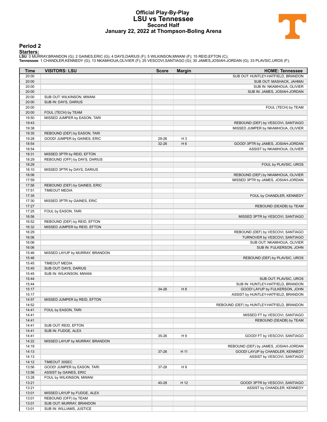#### **Official Play-By-Play LSU vs Tennessee Second Half January 22, 2022 at Thompson-Boling Arena**



#### **Period 2**

<mark>Startersː</mark><br>LSU: 0 MURRAY,BRANDON (G); 2 GAINES,ERIC (G); 4 DAYS,DARIUS (F); 5 WILKINSON,MWANI (F); 15 REID,EFTON (C);<br>Tennessee: 1 CHANDLER,KENNEDY (G); 13 NKAMHOUA,OLIVIER (F); 25 VESCOVI,SANTIAGO (G); 30 JAMES,JOSIAH-JO

| Time           | <b>VISITORS: LSU</b>            | <b>Score</b> | <b>Margin</b>  | <b>HOME: Tennessee</b>                                                    |
|----------------|---------------------------------|--------------|----------------|---------------------------------------------------------------------------|
| 20:00          |                                 |              |                | SUB OUT: HUNTLEY-HATFIELD, BRANDON                                        |
| 20:00          |                                 |              |                | SUB OUT: MASHACK, JAHMAI                                                  |
| 20:00          |                                 |              |                | SUB IN: NKAMHOUA, OLIVIER                                                 |
| 20:00          |                                 |              |                | SUB IN: JAMES, JOSIAH-JORDAN                                              |
| 20:00          | SUB OUT: WILKINSON, MWANI       |              |                |                                                                           |
| 20:00<br>20:00 | SUB IN: DAYS, DARIUS            |              |                | FOUL (TECH) by TEAM                                                       |
| 20:00          | FOUL (TECH) by TEAM             |              |                |                                                                           |
| 19:50          | MISSED JUMPER by EASON, TARI    |              |                |                                                                           |
| 19:43          |                                 |              |                | REBOUND (DEF) by VESCOVI, SANTIAGO                                        |
| 19:38          |                                 |              |                | MISSED JUMPER by NKAMHOUA, OLIVIER                                        |
| 19:35          | REBOUND (DEF) by EASON, TARI    |              |                |                                                                           |
| 19:28          | GOOD! JUMPER by GAINES, ERIC    | 29-26        | H <sub>3</sub> |                                                                           |
| 18:54          |                                 | 32-26        | H <sub>6</sub> | GOOD! 3PTR by JAMES, JOSIAH-JORDAN                                        |
| 18:54          |                                 |              |                | ASSIST by NKAMHOUA, OLIVIER                                               |
| 18:31          | MISSED 3PTR by REID, EFTON      |              |                |                                                                           |
| 18:29          | REBOUND (OFF) by DAYS, DARIUS   |              |                |                                                                           |
| 18:29<br>18:10 | MISSED 3PTR by DAYS, DARIUS     |              |                | FOUL by PLAVSIC, UROS                                                     |
| 18:06          |                                 |              |                | REBOUND (DEF) by NKAMHOUA, OLIVIER                                        |
| 17:59          |                                 |              |                | MISSED 3PTR by JAMES, JOSIAH-JORDAN                                       |
| 17:56          | REBOUND (DEF) by GAINES, ERIC   |              |                |                                                                           |
| 17:51          | <b>TIMEOUT MEDIA</b>            |              |                |                                                                           |
| 17:35          |                                 |              |                | FOUL by CHANDLER, KENNEDY                                                 |
| 17:30          | MISSED 3PTR by GAINES, ERIC     |              |                |                                                                           |
| 17:27          |                                 |              |                | REBOUND (DEADB) by TEAM                                                   |
| 17:25          | FOUL by EASON, TARI             |              |                |                                                                           |
| 16:56          |                                 |              |                | MISSED 3PTR by VESCOVI, SANTIAGO                                          |
| 16:52          | REBOUND (DEF) by REID, EFTON    |              |                |                                                                           |
| 16:32          | MISSED JUMPER by REID, EFTON    |              |                |                                                                           |
| 16:29<br>16:06 |                                 |              |                | REBOUND (DEF) by VESCOVI, SANTIAGO<br>TURNOVER by VESCOVI, SANTIAGO       |
| 16:06          |                                 |              |                | SUB OUT: NKAMHOUA, OLIVIER                                                |
| 16:06          |                                 |              |                | SUB IN: FULKERSON, JOHN                                                   |
| 15:46          | MISSED LAYUP by MURRAY, BRANDON |              |                |                                                                           |
| 15:46          |                                 |              |                | REBOUND (DEF) by PLAVSIC, UROS                                            |
| 15:45          | <b>TIMEOUT MEDIA</b>            |              |                |                                                                           |
| 15:45          | SUB OUT: DAYS, DARIUS           |              |                |                                                                           |
| 15:45          | SUB IN: WILKINSON, MWANI        |              |                |                                                                           |
| 15:44          |                                 |              |                | SUB OUT: PLAVSIC, UROS                                                    |
| 15:44          |                                 |              |                | SUB IN: HUNTLEY-HATFIELD, BRANDON                                         |
| 15:17<br>15:17 |                                 | 34-26        | H8             | GOOD! LAYUP by FULKERSON, JOHN<br>ASSIST by HUNTLEY-HATFIELD, BRANDON     |
| 14:57          | MISSED JUMPER by REID, EFTON    |              |                |                                                                           |
| 14:52          |                                 |              |                | REBOUND (DEF) by HUNTLEY-HATFIELD, BRANDON                                |
| 14:41          | FOUL by EASON, TARI             |              |                |                                                                           |
| 14:41          |                                 |              |                | MISSED FT by VESCOVI, SANTIAGO                                            |
| 14:41          |                                 |              |                | REBOUND (DEADB) by TEAM                                                   |
| 14:41          | SUB OUT: REID, EFTON            |              |                |                                                                           |
| 14:41          | SUB IN: FUDGE, ALEX             |              |                |                                                                           |
| 14:41          |                                 | 35-26        | H9             | GOOD! FT by VESCOVI, SANTIAGO                                             |
| 14:22          | MISSED LAYUP by MURRAY, BRANDON |              |                |                                                                           |
| 14:19<br>14:13 |                                 |              | H 11           | REBOUND (DEF) by JAMES, JOSIAH-JORDAN<br>GOOD! LAYUP by CHANDLER, KENNEDY |
| 14:13          |                                 | 37-26        |                | ASSIST by VESCOVI, SANTIAGO                                               |
| 14:12          | TIMEOUT 30SEC                   |              |                |                                                                           |
| 13:56          | GOOD! JUMPER by EASON, TARI     | 37-28        | H 9            |                                                                           |
| 13:56          | ASSIST by GAINES, ERIC          |              |                |                                                                           |
| 13:28          | FOUL by WILKINSON, MWANI        |              |                |                                                                           |
| 13:21          |                                 | 40-28        | H 12           | GOOD! 3PTR by VESCOVI, SANTIAGO                                           |
| 13:21          |                                 |              |                | ASSIST by CHANDLER, KENNEDY                                               |
| 13:01          | MISSED LAYUP by FUDGE, ALEX     |              |                |                                                                           |
| 13:01          | REBOUND (OFF) by TEAM           |              |                |                                                                           |
| 13:01          | SUB OUT: MURRAY, BRANDON        |              |                |                                                                           |
| 13:01          | SUB IN: WILLIAMS, JUSTICE       |              |                |                                                                           |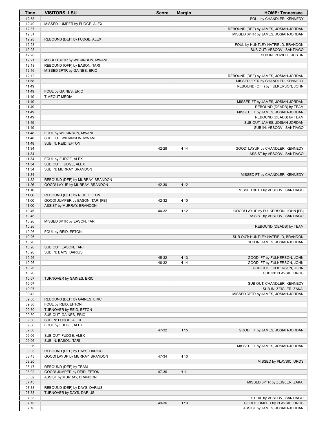| <b>Time</b>    | <b>VISITORS: LSU</b>             | <b>Score</b> | <b>Margin</b> | <b>HOME: Tennessee</b>                |
|----------------|----------------------------------|--------------|---------------|---------------------------------------|
| 12:53          |                                  |              |               | FOUL by CHANDLER, KENNEDY             |
| 12:40          | MISSED JUMPER by FUDGE, ALEX     |              |               |                                       |
| 12:37          |                                  |              |               | REBOUND (DEF) by JAMES, JOSIAH-JORDAN |
| 12:31          |                                  |              |               | MISSED 3PTR by JAMES, JOSIAH-JORDAN   |
| 12:28          | REBOUND (DEF) by FUDGE, ALEX     |              |               |                                       |
| 12:28          |                                  |              |               | FOUL by HUNTLEY-HATFIELD, BRANDON     |
| 12:28          |                                  |              |               | SUB OUT: VESCOVI, SANTIAGO            |
| 12:28          |                                  |              |               | SUB IN: POWELL, JUSTIN                |
| 12:21          | MISSED 3PTR by WILKINSON, MWANI  |              |               |                                       |
| 12:18          | REBOUND (OFF) by EASON, TARI     |              |               |                                       |
| 12:16          | MISSED 3PTR by GAINES, ERIC      |              |               |                                       |
| 12:12          |                                  |              |               | REBOUND (DEF) by JAMES, JOSIAH-JORDAN |
| 11:58<br>11:49 |                                  |              |               | MISSED 3PTR by CHANDLER, KENNEDY      |
| 11:49          | FOUL by GAINES, ERIC             |              |               | REBOUND (OFF) by FULKERSON, JOHN      |
| 11:49          | <b>TIMEOUT MEDIA</b>             |              |               |                                       |
| 11:49          |                                  |              |               | MISSED FT by JAMES, JOSIAH-JORDAN     |
| 11:49          |                                  |              |               | REBOUND (DEADB) by TEAM               |
| 11:49          |                                  |              |               | MISSED FT by JAMES, JOSIAH-JORDAN     |
| 11:49          |                                  |              |               | REBOUND (DEADB) by TEAM               |
| 11:49          |                                  |              |               | SUB OUT: JAMES, JOSIAH-JORDAN         |
| 11:49          |                                  |              |               | SUB IN: VESCOVI, SANTIAGO             |
| 11:48          | FOUL by WILKINSON, MWANI         |              |               |                                       |
| 11:48          | SUB OUT: WILKINSON, MWANI        |              |               |                                       |
| 11:48          | SUB IN: REID, EFTON              |              |               |                                       |
| 11:34          |                                  | 42-28        | H 14          | GOOD! LAYUP by CHANDLER, KENNEDY      |
| 11:34          |                                  |              |               | ASSIST by VESCOVI, SANTIAGO           |
| 11:34          | FOUL by FUDGE, ALEX              |              |               |                                       |
| 11:34          | SUB OUT: FUDGE, ALEX             |              |               |                                       |
| 11:34          | SUB IN: MURRAY, BRANDON          |              |               |                                       |
| 11:34          |                                  |              |               | MISSED FT by CHANDLER, KENNEDY        |
| 11:32          | REBOUND (DEF) by MURRAY, BRANDON |              |               |                                       |
| 11:26          | GOOD! LAYUP by MURRAY, BRANDON   | 42-30        | H 12          |                                       |
| 11:10          |                                  |              |               | MISSED 3PTR by VESCOVI, SANTIAGO      |
| 11:06          | REBOUND (DEF) by REID, EFTON     |              |               |                                       |
| 11:00          | GOOD! JUMPER by EASON, TARI [FB] | 42-32        | H 10          |                                       |
| 11:00          | ASSIST by MURRAY, BRANDON        |              |               |                                       |
| 10:46          |                                  | 44-32        | H 12          | GOOD! LAYUP by FULKERSON, JOHN [FB]   |
| 10:46<br>10:26 |                                  |              |               | ASSIST by VESCOVI, SANTIAGO           |
| 10:26          | MISSED 3PTR by EASON, TARI       |              |               | REBOUND (DEADB) by TEAM               |
| 10:26          | FOUL by REID, EFTON              |              |               |                                       |
| 10:26          |                                  |              |               | SUB OUT: HUNTLEY-HATFIELD, BRANDON    |
| 10:26          |                                  |              |               | SUB IN: JAMES, JOSIAH-JORDAN          |
| 10:26          | SUB OUT: EASON, TARI             |              |               |                                       |
| 10:26          | SUB IN: DAYS, DARIUS             |              |               |                                       |
| 10:26          |                                  | 45-32        | H 13          | GOOD! FT by FULKERSON, JOHN           |
| 10:26          |                                  | 46-32        | H 14          | GOOD! FT by FULKERSON, JOHN           |
| 10:26          |                                  |              |               | SUB OUT: FULKERSON, JOHN              |
| 10:26          |                                  |              |               | SUB IN: PLAVSIC, UROS                 |
| 10:07          | TURNOVER by GAINES, ERIC         |              |               |                                       |
| 10:07          |                                  |              |               | SUB OUT: CHANDLER, KENNEDY            |
| 10:07          |                                  |              |               | SUB IN: ZEIGLER, ZAKAI                |
| 09:42          |                                  |              |               | MISSED 3PTR by JAMES, JOSIAH-JORDAN   |
| 09:38          | REBOUND (DEF) by GAINES, ERIC    |              |               |                                       |
| 09:30          | FOUL by REID, EFTON              |              |               |                                       |
| 09:30          | TURNOVER by REID, EFTON          |              |               |                                       |
| 09:30          | SUB OUT: GAINES, ERIC            |              |               |                                       |
| 09:30          | SUB IN: FUDGE, ALEX              |              |               |                                       |
| 09:06          | FOUL by FUDGE, ALEX              |              |               |                                       |
| 09:06          |                                  | 47-32        | H 15          | GOOD! FT by JAMES, JOSIAH-JORDAN      |
| 09:06          | SUB OUT: FUDGE, ALEX             |              |               |                                       |
| 09:06          | SUB IN: EASON, TARI              |              |               |                                       |
| 09:06<br>09:05 | REBOUND (DEF) by DAYS, DARIUS    |              |               | MISSED FT by JAMES, JOSIAH-JORDAN     |
| 08:43          | GOOD! LAYUP by MURRAY, BRANDON   | 47-34        | H 13          |                                       |
| 08:20          |                                  |              |               | MISSED by PLAVSIC, UROS               |
| 08:17          | REBOUND (DEF) by TEAM            |              |               |                                       |
| 08:02          | GOOD! JUMPER by REID, EFTON      | 47-36        | H 11          |                                       |
| 08:02          | ASSIST by MURRAY, BRANDON        |              |               |                                       |
| 07:43          |                                  |              |               | MISSED 3PTR by ZEIGLER, ZAKAI         |
| 07:38          | REBOUND (DEF) by DAYS, DARIUS    |              |               |                                       |
| 07:33          | TURNOVER by DAYS, DARIUS         |              |               |                                       |
| 07:33          |                                  |              |               | STEAL by VESCOVI, SANTIAGO            |
| 07:16          |                                  | 49-36        | H 13          | GOOD! JUMPER by PLAVSIC, UROS         |
| 07:16          |                                  |              |               | ASSIST by JAMES, JOSIAH-JORDAN        |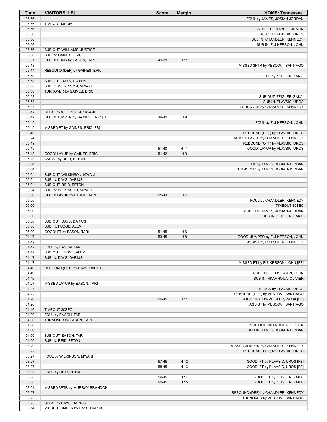| <b>Time</b>    | <b>VISITORS: LSU</b>                              | <b>Score</b> | <b>Margin</b>  | <b>HOME: Tennessee</b>                                       |
|----------------|---------------------------------------------------|--------------|----------------|--------------------------------------------------------------|
| 06:56          |                                                   |              |                | FOUL by JAMES, JOSIAH-JORDAN                                 |
| 06:56          | <b>TIMEOUT MEDIA</b>                              |              |                |                                                              |
| 06:56          |                                                   |              |                | SUB OUT: POWELL, JUSTIN                                      |
| 06:56          |                                                   |              |                | SUB OUT: PLAVSIC, UROS                                       |
| 06:56<br>06:56 |                                                   |              |                | SUB IN: CHANDLER, KENNEDY<br>SUB IN: FULKERSON, JOHN         |
| 06:56          | SUB OUT: WILLIAMS, JUSTICE                        |              |                |                                                              |
| 06:56          | SUB IN: GAINES, ERIC                              |              |                |                                                              |
| 06:51          | GOOD! DUNK by EASON, TARI                         | 49-38        | H 11           |                                                              |
| 06:18          |                                                   |              |                | MISSED 3PTR by VESCOVI, SANTIAGO                             |
| 06:14          | REBOUND (DEF) by GAINES, ERIC                     |              |                |                                                              |
| 05:58          |                                                   |              |                | FOUL by ZEIGLER, ZAKAI                                       |
| 05:58<br>05:58 | SUB OUT: DAYS, DARIUS<br>SUB IN: WILKINSON, MWANI |              |                |                                                              |
| 05:58          | TURNOVER by GAINES, ERIC                          |              |                |                                                              |
| 05:58          |                                                   |              |                | SUB OUT: ZEIGLER, ZAKAI                                      |
| 05:58          |                                                   |              |                | SUB IN: PLAVSIC, UROS                                        |
| 05:47          |                                                   |              |                | TURNOVER by CHANDLER, KENNEDY                                |
| 05:47          | STEAL by WILKINSON, MWANI                         |              |                |                                                              |
| 05:42          | GOOD! JUMPER by GAINES, ERIC [FB]                 | 49-40        | H <sub>9</sub> |                                                              |
| 05:42<br>05:42 | MISSED FT by GAINES, ERIC [FB]                    |              |                | FOUL by FULKERSON, JOHN                                      |
| 05:40          |                                                   |              |                | REBOUND (DEF) by PLAVSIC, UROS                               |
| 05:24          |                                                   |              |                | MISSED LAYUP by CHANDLER, KENNEDY                            |
| 05:19          |                                                   |              |                | REBOUND (OFF) by PLAVSIC, UROS                               |
| 05:19          |                                                   | 51-40        | H 11           | GOOD! LAYUP by PLAVSIC, UROS                                 |
| 05:13          | GOOD! LAYUP by GAINES, ERIC                       | 51-42        | H9             |                                                              |
| 05:13          | ASSIST by REID, EFTON                             |              |                |                                                              |
| 05:04          |                                                   |              |                | FOUL by JAMES, JOSIAH-JORDAN                                 |
| 05:04<br>05:04 | SUB OUT: WILKINSON, MWANI                         |              |                | TURNOVER by JAMES, JOSIAH-JORDAN                             |
| 05:04          | SUB IN: DAYS, DARIUS                              |              |                |                                                              |
| 05:04          | SUB OUT: REID, EFTON                              |              |                |                                                              |
| 05:04          | SUB IN: WILKINSON, MWANI                          |              |                |                                                              |
| 05:00          | GOOD! LAYUP by EASON, TARI                        | 51-44        | H 7            |                                                              |
| 05:00          |                                                   |              |                | FOUL by CHANDLER, KENNEDY                                    |
| 05:00          |                                                   |              |                | <b>TIMEOUT 30SEC</b>                                         |
| 05:00<br>05:00 |                                                   |              |                | SUB OUT: JAMES, JOSIAH-JORDAN<br>SUB IN: ZEIGLER, ZAKAI      |
| 05:00          | SUB OUT: DAYS, DARIUS                             |              |                |                                                              |
| 05:00          | SUB IN: FUDGE, ALEX                               |              |                |                                                              |
| 05:00          | GOOD! FT by EASON, TARI                           | 51-45        | H <sub>6</sub> |                                                              |
| 04:47          |                                                   | 53-45        | H <sub>8</sub> | GOOD! JUMPER by FULKERSON, JOHN                              |
| 04:47          |                                                   |              |                | ASSIST by CHANDLER, KENNEDY                                  |
| 04:47          | FOUL by EASON, TARI                               |              |                |                                                              |
| 04:47<br>04:47 | SUB OUT: FUDGE, ALEX<br>SUB IN: DAYS, DARIUS      |              |                |                                                              |
| 04:47          |                                                   |              |                | MISSED FT by FULKERSON, JOHN [FB]                            |
| 04:46          | REBOUND (DEF) by DAYS, DARIUS                     |              |                |                                                              |
| 04:46          |                                                   |              |                | SUB OUT: FULKERSON, JOHN                                     |
| 04:46          |                                                   |              |                | SUB IN: NKAMHOUA, OLIVIER                                    |
| 04:27          | MISSED LAYUP by EASON, TARI                       |              |                |                                                              |
| 04:27<br>04:22 |                                                   |              |                | BLOCK by PLAVSIC, UROS<br>REBOUND (DEF) by VESCOVI, SANTIAGO |
| 04:20          |                                                   | 56-45        | H 11           | GOOD! 3PTR by ZEIGLER, ZAKAI [FB]                            |
| 04:20          |                                                   |              |                | ASSIST by VESCOVI, SANTIAGO                                  |
| 04:16          | TIMEOUT 30SEC                                     |              |                |                                                              |
| 04:00          | FOUL by EASON, TARI                               |              |                |                                                              |
| 04:00          | TURNOVER by EASON, TARI                           |              |                |                                                              |
| 04:00          |                                                   |              |                | SUB OUT: NKAMHOUA, OLIVIER                                   |
| 04:00<br>04:00 | SUB OUT: EASON, TARI                              |              |                | SUB IN: JAMES, JOSIAH-JORDAN                                 |
| 04:00          | SUB IN: REID, EFTON                               |              |                |                                                              |
| 03:29          |                                                   |              |                | MISSED JUMPER by CHANDLER, KENNEDY                           |
| 03:27          |                                                   |              |                | REBOUND (OFF) by PLAVSIC, UROS                               |
| 03:27          | FOUL by WILKINSON, MWANI                          |              |                |                                                              |
| 03:27          |                                                   | 57-45        | H 12           | GOOD! FT by PLAVSIC, UROS [FB]                               |
| 03:27          |                                                   | 58-45        | H 13           | GOOD! FT by PLAVSIC, UROS [FB]                               |
| 03:08<br>03:08 | FOUL by REID, EFTON                               | 59-45        | H 14           | GOOD! FT by ZEIGLER, ZAKAI                                   |
| 03:08          |                                                   | 60-45        | H 15           | GOOD! FT by ZEIGLER, ZAKAI                                   |
| 03:01          | MISSED 3PTR by MURRAY, BRANDON                    |              |                |                                                              |
| 02:57          |                                                   |              |                | REBOUND (DEF) by CHANDLER, KENNEDY                           |
| 02:25          |                                                   |              |                | TURNOVER by VESCOVI, SANTIAGO                                |
| 02:25          | STEAL by DAYS, DARIUS                             |              |                |                                                              |
| 02:14          | MISSED JUMPER by DAYS, DARIUS                     |              |                |                                                              |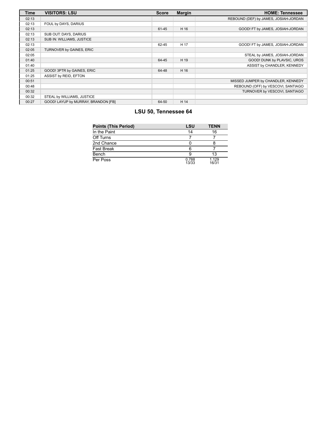| <b>Time</b> | <b>VISITORS: LSU</b>                | <b>Score</b> | <b>Margin</b> | <b>HOME: Tennessee</b>                |
|-------------|-------------------------------------|--------------|---------------|---------------------------------------|
| 02:13       |                                     |              |               | REBOUND (DEF) by JAMES, JOSIAH-JORDAN |
| 02:13       | FOUL by DAYS, DARIUS                |              |               |                                       |
| 02:13       |                                     | 61-45        | H 16          | GOOD! FT by JAMES, JOSIAH-JORDAN      |
| 02:13       | SUB OUT: DAYS, DARIUS               |              |               |                                       |
| 02:13       | SUB IN: WILLIAMS, JUSTICE           |              |               |                                       |
| 02:13       |                                     | 62-45        | H 17          | GOOD! FT by JAMES, JOSIAH-JORDAN      |
| 02:05       | TURNOVER by GAINES, ERIC            |              |               |                                       |
| 02:05       |                                     |              |               | STEAL by JAMES, JOSIAH-JORDAN         |
| 01:40       |                                     | 64-45        | H 19          | GOOD! DUNK by PLAVSIC, UROS           |
| 01:40       |                                     |              |               | ASSIST by CHANDLER, KENNEDY           |
| 01:25       | GOOD! 3PTR by GAINES, ERIC          | 64-48        | H 16          |                                       |
| 01:25       | ASSIST by REID, EFTON               |              |               |                                       |
| 00:51       |                                     |              |               | MISSED JUMPER by CHANDLER, KENNEDY    |
| 00:48       |                                     |              |               | REBOUND (OFF) by VESCOVI, SANTIAGO    |
| 00:32       |                                     |              |               | TURNOVER by VESCOVI, SANTIAGO         |
| 00:32       | STEAL by WILLIAMS, JUSTICE          |              |               |                                       |
| 00:27       | GOOD! LAYUP by MURRAY, BRANDON [FB] | 64-50        | H 14          |                                       |

#### **LSU 50, Tennessee 64**

| <b>Points (This Period)</b> | <b>LSU</b>     | <b>TENN</b>    |
|-----------------------------|----------------|----------------|
| In the Paint                | 14             | 16             |
| Off Turns                   |                |                |
| 2nd Chance                  |                |                |
| <b>Fast Break</b>           | 6              |                |
| Bench                       |                | 13             |
| Per Poss                    | 0.788<br>13/33 | 1.129<br>16/31 |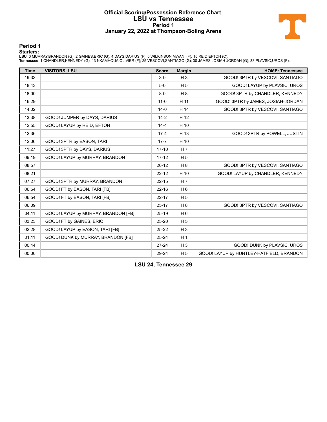#### **Official Scoring/Possession Reference Chart LSU vs Tennessee Period 1 January 22, 2022 at Thompson-Boling Arena**



#### **Period 1**

<mark>Startersː</mark><br>LSU: 0 MURRAY,BRANDON (G); 2 GAINES,ERIC (G); 4 DAYS,DARIUS (F); 5 WILKINSON,MWANI (F); 15 REID,EFTON (C);<br>Tennessee: 1 CHANDLER,KENNEDY (G); 13 NKAMHOUA,OLIVIER (F); 25 VESCOVI,SANTIAGO (G); 30 JAMES,JOSIAH-JO

| <b>Time</b> | <b>VISITORS: LSU</b>                | <b>Score</b> | <b>Margin</b>  | <b>HOME: Tennessee</b>                   |
|-------------|-------------------------------------|--------------|----------------|------------------------------------------|
| 19:33       |                                     | $3-0$        | $H_3$          | GOOD! 3PTR by VESCOVI, SANTIAGO          |
| 18:43       |                                     | $5-0$        | H <sub>5</sub> | GOOD! LAYUP by PLAVSIC, UROS             |
| 18:00       |                                     | $8-0$        | H8             | GOOD! 3PTR by CHANDLER, KENNEDY          |
| 16:29       |                                     | $11 - 0$     | H 11           | GOOD! 3PTR by JAMES, JOSIAH-JORDAN       |
| 14:02       |                                     | $14-0$       | H 14           | GOOD! 3PTR by VESCOVI, SANTIAGO          |
| 13:38       | GOOD! JUMPER by DAYS, DARIUS        | $14-2$       | H 12           |                                          |
| 12:55       | GOOD! LAYUP by REID, EFTON          | $14 - 4$     | H 10           |                                          |
| 12:36       |                                     | $17 - 4$     | H 13           | GOOD! 3PTR by POWELL, JUSTIN             |
| 12:06       | GOOD! 3PTR by EASON, TARI           | $17 - 7$     | H 10           |                                          |
| 11:27       | GOOD! 3PTR by DAYS, DARIUS          | $17 - 10$    | H 7            |                                          |
| 09:19       | GOOD! LAYUP by MURRAY, BRANDON      | $17 - 12$    | H <sub>5</sub> |                                          |
| 08:57       |                                     | $20 - 12$    | H8             | GOOD! 3PTR by VESCOVI, SANTIAGO          |
| 08:21       |                                     | $22 - 12$    | H 10           | GOOD! LAYUP by CHANDLER, KENNEDY         |
| 07:27       | GOOD! 3PTR by MURRAY, BRANDON       | $22 - 15$    | H <sub>7</sub> |                                          |
| 06:54       | GOOD! FT by EASON, TARI [FB]        | $22 - 16$    | H <sub>6</sub> |                                          |
| 06:54       | GOOD! FT by EASON, TARI [FB]        | $22 - 17$    | H <sub>5</sub> |                                          |
| 06:09       |                                     | $25-17$      | H 8            | GOOD! 3PTR by VESCOVI, SANTIAGO          |
| 04:11       | GOOD! LAYUP by MURRAY, BRANDON [FB] | $25-19$      | H <sub>6</sub> |                                          |
| 03:23       | GOOD! FT by GAINES, ERIC            | 25-20        | H <sub>5</sub> |                                          |
| 02:28       | GOOD! LAYUP by EASON, TARI [FB]     | $25 - 22$    | $H_3$          |                                          |
| 01:11       | GOOD! DUNK by MURRAY, BRANDON [FB]  | 25-24        | H <sub>1</sub> |                                          |
| 00:44       |                                     | $27-24$      | $H_3$          | GOOD! DUNK by PLAVSIC, UROS              |
| 00:00       |                                     | 29-24        | H <sub>5</sub> | GOOD! LAYUP by HUNTLEY-HATFIELD, BRANDON |

**LSU 24, Tennessee 29**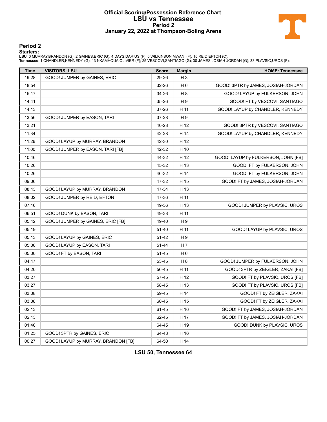#### **Official Scoring/Possession Reference Chart LSU vs Tennessee Period 2 January 22, 2022 at Thompson-Boling Arena**



#### **Period 2**

#### **Starters:**

LSU: 0 MURRAY,BRANDON (G); 2 GAINES,ERIC (G); 4 DAYS,DARIUS (F); 5 WILKINSON,MWANI (F); 15 REID,EFTON (C);<br>Tennessee: 1 CHANDLER,KENNEDY (G); 13 NKAMHOUA,OLIVIER (F); 25 VESCOVI,SANTIAGO (G); 30 JAMES,JOSIAH-JORDAN (G); 33

| <b>Time</b> | <b>VISITORS: LSU</b>                | <b>Score</b> | <b>Margin</b>  | <b>HOME: Tennessee</b>              |
|-------------|-------------------------------------|--------------|----------------|-------------------------------------|
| 19:28       | GOOD! JUMPER by GAINES, ERIC        | 29-26        | $H_3$          |                                     |
| 18:54       |                                     | 32-26        | H 6            | GOOD! 3PTR by JAMES, JOSIAH-JORDAN  |
| 15:17       |                                     | 34-26        | H <sub>8</sub> | GOOD! LAYUP by FULKERSON, JOHN      |
| 14:41       |                                     | 35-26        | H <sub>9</sub> | GOOD! FT by VESCOVI, SANTIAGO       |
| 14:13       |                                     | 37-26        | H 11           | GOOD! LAYUP by CHANDLER, KENNEDY    |
| 13:56       | GOOD! JUMPER by EASON, TARI         | 37-28        | H <sub>9</sub> |                                     |
| 13:21       |                                     | 40-28        | H 12           | GOOD! 3PTR by VESCOVI, SANTIAGO     |
| 11:34       |                                     | 42-28        | H 14           | GOOD! LAYUP by CHANDLER, KENNEDY    |
| 11:26       | GOOD! LAYUP by MURRAY, BRANDON      | 42-30        | H 12           |                                     |
| 11:00       | GOOD! JUMPER by EASON, TARI [FB]    | 42-32        | H 10           |                                     |
| 10:46       |                                     | 44-32        | H 12           | GOOD! LAYUP by FULKERSON, JOHN [FB] |
| 10:26       |                                     | 45-32        | H 13           | GOOD! FT by FULKERSON, JOHN         |
| 10:26       |                                     | 46-32        | H 14           | GOOD! FT by FULKERSON, JOHN         |
| 09:06       |                                     | 47-32        | H 15           | GOOD! FT by JAMES, JOSIAH-JORDAN    |
| 08:43       | GOOD! LAYUP by MURRAY, BRANDON      | 47-34        | H 13           |                                     |
| 08:02       | GOOD! JUMPER by REID, EFTON         | 47-36        | H 11           |                                     |
| 07:16       |                                     | 49-36        | H 13           | GOOD! JUMPER by PLAVSIC, UROS       |
| 06:51       | GOOD! DUNK by EASON, TARI           | 49-38        | H 11           |                                     |
| 05:42       | GOOD! JUMPER by GAINES, ERIC [FB]   | 49-40        | H <sub>9</sub> |                                     |
| 05:19       |                                     | 51-40        | H 11           | GOOD! LAYUP by PLAVSIC, UROS        |
| 05:13       | GOOD! LAYUP by GAINES, ERIC         | 51-42        | H <sub>9</sub> |                                     |
| 05:00       | GOOD! LAYUP by EASON, TARI          | 51-44        | H <sub>7</sub> |                                     |
| 05:00       | GOOD! FT by EASON, TARI             | 51-45        | H <sub>6</sub> |                                     |
| 04:47       |                                     | 53-45        | H <sub>8</sub> | GOOD! JUMPER by FULKERSON, JOHN     |
| 04:20       |                                     | 56-45        | H 11           | GOOD! 3PTR by ZEIGLER, ZAKAI [FB]   |
| 03:27       |                                     | 57-45        | H 12           | GOOD! FT by PLAVSIC, UROS [FB]      |
| 03:27       |                                     | 58-45        | H 13           | GOOD! FT by PLAVSIC, UROS [FB]      |
| 03:08       |                                     | 59-45        | H 14           | GOOD! FT by ZEIGLER, ZAKAI          |
| 03:08       |                                     | 60-45        | H 15           | GOOD! FT by ZEIGLER, ZAKAI          |
| 02:13       |                                     | 61-45        | H 16           | GOOD! FT by JAMES, JOSIAH-JORDAN    |
| 02:13       |                                     | 62-45        | H 17           | GOOD! FT by JAMES, JOSIAH-JORDAN    |
| 01:40       |                                     | 64-45        | H 19           | GOOD! DUNK by PLAVSIC, UROS         |
| 01:25       | GOOD! 3PTR by GAINES, ERIC          | 64-48        | H 16           |                                     |
| 00:27       | GOOD! LAYUP by MURRAY, BRANDON [FB] | 64-50        | H 14           |                                     |

**LSU 50, Tennessee 64**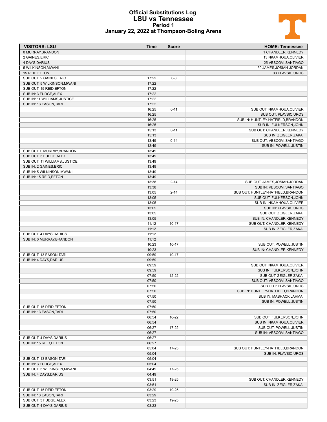# T

#### **Official Substitutions Log LSU vs Tennessee Period 1 January 22, 2022 at Thompson-Boling Arena**

| <b>VISITORS: LSU</b>                                   | <b>Time</b>    | <b>Score</b> | <b>HOME: Tennessee</b>                               |
|--------------------------------------------------------|----------------|--------------|------------------------------------------------------|
| 0 MURRAY, BRANDON                                      |                |              | 1 CHANDLER, KENNEDY                                  |
| 2 GAINES, ERIC                                         |                |              | 13 NKAMHOUA, OLIVIER                                 |
| 4 DAYS, DARIUS                                         |                |              | 25 VESCOVI, SANTIAGO                                 |
| 5 WILKINSON, MWANI                                     |                |              | 30 JAMES, JOSIAH-JORDAN                              |
| 15 REID, EFTON                                         |                |              | 33 PLAVSIC, UROS                                     |
| SUB OUT: 2 GAINES, ERIC                                | 17:22          | $0 - 8$      |                                                      |
| SUB OUT: 5 WILKINSON, MWANI                            | 17:22          |              |                                                      |
| SUB OUT: 15 REID, EFTON                                | 17:22          |              |                                                      |
| SUB IN: 3 FUDGE, ALEX                                  | 17:22<br>17:22 |              |                                                      |
| SUB IN: 11 WILLIAMS, JUSTICE<br>SUB IN: 13 EASON, TARI | 17:22          |              |                                                      |
|                                                        | 16:25          | $0 - 11$     | SUB OUT: NKAMHOUA, OLIVIER                           |
|                                                        | 16:25          |              | SUB OUT: PLAVSIC, UROS                               |
|                                                        | 16:25          |              | SUB IN: HUNTLEY-HATFIELD, BRANDON                    |
|                                                        | 16:25          |              | SUB IN: FULKERSON, JOHN                              |
|                                                        | 15:13          | $0 - 11$     | SUB OUT: CHANDLER, KENNEDY                           |
|                                                        | 15:13          |              | SUB IN: ZEIGLER, ZAKAI                               |
|                                                        | 13:49          | $0 - 14$     | SUB OUT: VESCOVI, SANTIAGO                           |
|                                                        | 13:49          |              | SUB IN: POWELL, JUSTIN                               |
| SUB OUT: 0 MURRAY, BRANDON                             | 13:49          |              |                                                      |
| SUB OUT: 3 FUDGE, ALEX                                 | 13:49          |              |                                                      |
| SUB OUT: 11 WILLIAMS, JUSTICE                          | 13:49          |              |                                                      |
| SUB IN: 2 GAINES, ERIC                                 | 13:49          |              |                                                      |
| SUB IN: 5 WILKINSON, MWANI                             | 13:49          |              |                                                      |
| SUB IN: 15 REID, EFTON                                 | 13:49          |              |                                                      |
|                                                        | 13:38          | $2 - 14$     | SUB OUT: JAMES, JOSIAH-JORDAN                        |
|                                                        | 13:38          |              | SUB IN: VESCOVI, SANTIAGO                            |
|                                                        | 13:05          | $2 - 14$     | SUB OUT: HUNTLEY-HATFIELD, BRANDON                   |
|                                                        | 13:05          |              | SUB OUT: FULKERSON, JOHN                             |
|                                                        | 13:05          |              | SUB IN: NKAMHOUA, OLIVIER                            |
|                                                        | 13:05          |              | SUB IN: PLAVSIC, UROS                                |
|                                                        | 13:05          |              | SUB OUT: ZEIGLER, ZAKAI                              |
|                                                        | 13:05          |              | SUB IN: CHANDLER, KENNEDY                            |
|                                                        | 11:12          | $10 - 17$    | SUB OUT: CHANDLER, KENNEDY                           |
|                                                        | 11:12          |              | SUB IN: ZEIGLER, ZAKAI                               |
| SUB OUT: 4 DAYS, DARIUS                                | 11:12          |              |                                                      |
| SUB IN: 0 MURRAY, BRANDON                              | 11:12          |              |                                                      |
|                                                        | 10:23          | $10 - 17$    | SUB OUT: POWELL, JUSTIN                              |
|                                                        | 10:23          |              | SUB IN: CHANDLER, KENNEDY                            |
| SUB OUT: 13 EASON, TARI                                | 09:59          | $10 - 17$    |                                                      |
| SUB IN: 4 DAYS, DARIUS                                 | 09:59          |              |                                                      |
|                                                        | 09:59          |              | SUB OUT: NKAMHOUA, OLIVIER<br>SUB IN: FULKERSON.JOHN |
|                                                        | 09:59<br>07:50 | 12-22        | SUB OUT: ZEIGLER, ZAKAI                              |
|                                                        | 07:50          |              | SUB OUT: VESCOVI, SANTIAGO                           |
|                                                        | 07:50          |              | SUB OUT: PLAVSIC UROS                                |
|                                                        | 07:50          |              | SUB IN: HUNTLEY-HATFIELD, BRANDON                    |
|                                                        | 07:50          |              | SUB IN: MASHACK, JAHMAI                              |
|                                                        | 07:50          |              | SUB IN: POWELL, JUSTIN                               |
| SUB OUT: 15 REID, EFTON                                | 07:50          |              |                                                      |
| SUB IN: 13 EASON, TARI                                 | 07:50          |              |                                                      |
|                                                        | 06:54          | 16-22        | SUB OUT: FULKERSON, JOHN                             |
|                                                        | 06:54          |              | SUB IN: NKAMHOUA, OLIVIER                            |
|                                                        | 06:27          | 17-22        | SUB OUT: POWELL, JUSTIN                              |
|                                                        | 06:27          |              | SUB IN: VESCOVI, SANTIAGO                            |
| SUB OUT: 4 DAYS, DARIUS                                | 06:27          |              |                                                      |
| SUB IN: 15 REID, EFTON                                 | 06:27          |              |                                                      |
|                                                        | 05:04          | 17-25        | SUB OUT: HUNTLEY-HATFIELD, BRANDON                   |
|                                                        | 05:04          |              | SUB IN: PLAVSIC, UROS                                |
| SUB OUT: 13 EASON, TARI                                | 05:04          |              |                                                      |
| SUB IN: 3 FUDGE, ALEX                                  | 05:04          |              |                                                      |
| SUB OUT: 5 WILKINSON, MWANI                            | 04:49          | 17-25        |                                                      |
| SUB IN: 4 DAYS, DARIUS                                 | 04:49          |              |                                                      |
|                                                        | 03:51          | 19-25        | SUB OUT: CHANDLER, KENNEDY                           |
|                                                        | 03:51          |              | SUB IN: ZEIGLER, ZAKAI                               |
| SUB OUT: 15 REID, EFTON                                | 03:29          | 19-25        |                                                      |
| SUB IN: 13 EASON, TARI                                 | 03:29          |              |                                                      |
| SUB OUT: 3 FUDGE, ALEX                                 | 03:23          | 19-25        |                                                      |
| SUB OUT: 4 DAYS, DARIUS                                | 03:23          |              |                                                      |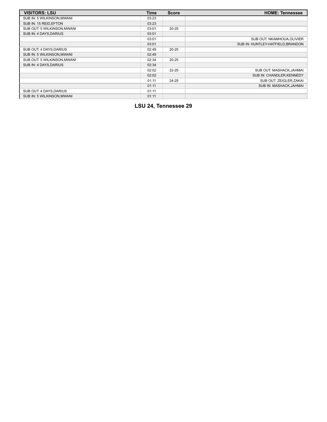| <b>VISITORS: LSU</b>        | Time  | <b>Score</b> | <b>HOME: Tennessee</b>            |
|-----------------------------|-------|--------------|-----------------------------------|
| SUB IN: 5 WILKINSON, MWANI  | 03:23 |              |                                   |
| SUB IN: 15 REID, EFTON      | 03:23 |              |                                   |
| SUB OUT: 5 WILKINSON, MWANI | 03:01 | $20 - 25$    |                                   |
| SUB IN: 4 DAYS, DARIUS      | 03:01 |              |                                   |
|                             | 03:01 |              | SUB OUT: NKAMHOUA, OLIVIER        |
|                             | 03:01 |              | SUB IN: HUNTLEY-HATFIELD, BRANDON |
| SUB OUT: 4 DAYS, DARIUS     | 02:49 | $20 - 25$    |                                   |
| SUB IN: 5 WILKINSON, MWANI  | 02:49 |              |                                   |
| SUB OUT: 5 WILKINSON, MWANI | 02:34 | $20 - 25$    |                                   |
| SUB IN: 4 DAYS, DARIUS      | 02:34 |              |                                   |
|                             | 02:02 | $22 - 25$    | SUB OUT: MASHACK, JAHMAI          |
|                             | 02:02 |              | SUB IN: CHANDLER, KENNEDY         |
|                             | 01:11 | $24 - 25$    | SUB OUT: ZEIGLER, ZAKAI           |
|                             | 01:11 |              | SUB IN: MASHACK, JAHMAI           |
| SUB OUT: 4 DAYS, DARIUS     | 01:11 |              |                                   |
| SUB IN: 5 WILKINSON, MWANI  | 01:11 |              |                                   |

## **LSU 24, Tennessee 29**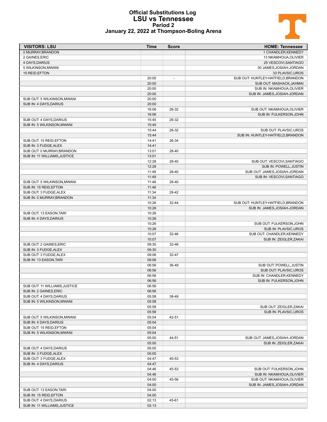# $\mathbf{T}$

#### **Official Substitutions Log LSU vs Tennessee Period 2 January 22, 2022 at Thompson-Boling Arena**

| 0 MURRAY, BRANDON<br>1 CHANDLER, KENNEDY<br>13 NKAMHOUA, OLIVIER<br>2 GAINES, ERIC<br>4 DAYS, DARIUS<br>25 VESCOVI, SANTIAGO<br>30 JAMES, JOSIAH-JORDAN<br>5 WILKINSON, MWANI<br>33 PLAVSIC, UROS<br>15 REID, EFTON<br>SUB OUT: HUNTLEY-HATFIELD, BRANDON<br>20:00<br>$\overline{\phantom{a}}$<br>20:00<br>SUB OUT: MASHACK, JAHMAI<br>20:00<br>SUB IN: NKAMHOUA, OLIVIER<br>20:00<br>SUB IN: JAMES, JOSIAH-JORDAN<br>SUB OUT: 5 WILKINSON, MWANI<br>20:00<br>SUB IN: 4 DAYS, DARIUS<br>20:00<br>16:06<br>26-32<br>SUB OUT: NKAMHOUA, OLIVIER<br>16:06<br>SUB IN: FULKERSON, JOHN<br>SUB OUT: 4 DAYS DARIUS<br>15:45<br>26-32<br>SUB IN: 5 WILKINSON, MWANI<br>15:45<br>15:44<br>26-32<br>SUB OUT: PLAVSIC, UROS<br>15:44<br>SUB IN: HUNTLEY-HATFIELD, BRANDON<br>SUB OUT: 15 REID, EFTON<br>14:41<br>26-34<br>SUB IN: 3 FUDGE, ALEX<br>14:41<br>13:01<br>SUB OUT: 0 MURRAY, BRANDON<br>28-40<br>SUB IN: 11 WILLIAMS, JUSTICE<br>13:01<br>12:28<br>28-40<br>SUB OUT: VESCOVI, SANTIAGO<br>12:28<br>SUB IN: POWELL, JUSTIN<br>11:49<br>SUB OUT: JAMES, JOSIAH-JORDAN<br>28-40<br>11:49<br>SUB IN: VESCOVI, SANTIAGO<br>11:48<br>SUB OUT: 5 WILKINSON, MWANI<br>28-40<br>11:48<br>SUB IN: 15 REID.EFTON<br>11:34<br>SUB OUT: 3 FUDGE, ALEX<br>28-42<br>SUB IN: 0 MURRAY, BRANDON<br>11:34<br>10:26<br>32-44<br>SUB OUT: HUNTLEY-HATFIELD, BRANDON<br>10:26<br>SUB IN: JAMES, JOSIAH-JORDAN<br>SUB OUT: 13 EASON, TARI<br>10:26<br>SUB IN: 4 DAYS, DARIUS<br>10:26<br>10:26<br>SUB OUT: FULKERSON, JOHN<br>10:26<br>SUB IN: PLAVSIC, UROS<br>10:07<br>32-46<br>SUB OUT: CHANDLER, KENNEDY<br>10:07<br>SUB IN: ZEIGLER, ZAKAI<br>09:30<br>SUB OUT: 2 GAINES, ERIC<br>32-46<br>09:30<br>SUB IN: 3 FUDGE, ALEX<br>SUB OUT: 3 FUDGE, ALEX<br>09:06<br>32-47<br>SUB IN: 13 EASON, TARI<br>09:06<br>06:56<br>36-49<br>SUB OUT: POWELL, JUSTIN<br>06:56<br>SUB OUT: PLAVSIC, UROS<br>06:56<br>SUB IN: CHANDLER, KENNEDY<br>06:56<br>SUB IN: FULKERSON.JOHN<br>06:56<br>SUB OUT: 11 WILLIAMS, JUSTICE<br>06:56<br>SUB IN: 2 GAINES, ERIC<br>05:58<br>SUB OUT: 4 DAYS, DARIUS<br>38-49<br>05:58<br>SUB IN: 5 WILKINSON, MWANI<br>05:58<br>SUB OUT: ZEIGLER, ZAKAI<br>05:58<br>SUB IN: PLAVSIC, UROS<br>42-51<br>SUB OUT: 5 WILKINSON, MWANI<br>05:04<br>05:04<br>SUB IN: 4 DAYS, DARIUS<br>SUB OUT: 15 REID, EFTON<br>05:04<br>05:04<br>SUB IN: 5 WILKINSON, MWANI<br>SUB OUT: JAMES, JOSIAH-JORDAN<br>05:00<br>44-51<br>05:00<br>SUB IN: ZEIGLER, ZAKAI<br>SUB OUT: 4 DAYS, DARIUS<br>05:00<br>05:00<br>SUB IN: 3 FUDGE, ALEX<br>04:47<br>SUB OUT: 3 FUDGE, ALEX<br>45-53<br>04:47<br>SUB IN: 4 DAYS, DARIUS<br>45-53<br>04:46<br>SUB OUT: FULKERSON, JOHN<br>04:46<br>SUB IN: NKAMHOUA, OLIVIER<br>04:00<br>45-56<br>SUB OUT: NKAMHOUA, OLIVIER<br>04:00<br>SUB IN: JAMES, JOSIAH-JORDAN<br>SUB OUT: 13 EASON, TARI<br>04:00<br>04:00<br>SUB IN: 15 REID, EFTON<br>02:13<br>SUB OUT: 4 DAYS, DARIUS<br>45-61<br>SUB IN: 11 WILLIAMS, JUSTICE<br>02:13 | <b>VISITORS: LSU</b> | Time | <b>Score</b> | <b>HOME: Tennessee</b> |
|---------------------------------------------------------------------------------------------------------------------------------------------------------------------------------------------------------------------------------------------------------------------------------------------------------------------------------------------------------------------------------------------------------------------------------------------------------------------------------------------------------------------------------------------------------------------------------------------------------------------------------------------------------------------------------------------------------------------------------------------------------------------------------------------------------------------------------------------------------------------------------------------------------------------------------------------------------------------------------------------------------------------------------------------------------------------------------------------------------------------------------------------------------------------------------------------------------------------------------------------------------------------------------------------------------------------------------------------------------------------------------------------------------------------------------------------------------------------------------------------------------------------------------------------------------------------------------------------------------------------------------------------------------------------------------------------------------------------------------------------------------------------------------------------------------------------------------------------------------------------------------------------------------------------------------------------------------------------------------------------------------------------------------------------------------------------------------------------------------------------------------------------------------------------------------------------------------------------------------------------------------------------------------------------------------------------------------------------------------------------------------------------------------------------------------------------------------------------------------------------------------------------------------------------------------------------------------------------------------------------------------------------------------------------------------------------------------------------------------------------------------------------------------------------------------------------------------------------------------------------------------------------------------------------------------------------|----------------------|------|--------------|------------------------|
|                                                                                                                                                                                                                                                                                                                                                                                                                                                                                                                                                                                                                                                                                                                                                                                                                                                                                                                                                                                                                                                                                                                                                                                                                                                                                                                                                                                                                                                                                                                                                                                                                                                                                                                                                                                                                                                                                                                                                                                                                                                                                                                                                                                                                                                                                                                                                                                                                                                                                                                                                                                                                                                                                                                                                                                                                                                                                                                                             |                      |      |              |                        |
|                                                                                                                                                                                                                                                                                                                                                                                                                                                                                                                                                                                                                                                                                                                                                                                                                                                                                                                                                                                                                                                                                                                                                                                                                                                                                                                                                                                                                                                                                                                                                                                                                                                                                                                                                                                                                                                                                                                                                                                                                                                                                                                                                                                                                                                                                                                                                                                                                                                                                                                                                                                                                                                                                                                                                                                                                                                                                                                                             |                      |      |              |                        |
|                                                                                                                                                                                                                                                                                                                                                                                                                                                                                                                                                                                                                                                                                                                                                                                                                                                                                                                                                                                                                                                                                                                                                                                                                                                                                                                                                                                                                                                                                                                                                                                                                                                                                                                                                                                                                                                                                                                                                                                                                                                                                                                                                                                                                                                                                                                                                                                                                                                                                                                                                                                                                                                                                                                                                                                                                                                                                                                                             |                      |      |              |                        |
|                                                                                                                                                                                                                                                                                                                                                                                                                                                                                                                                                                                                                                                                                                                                                                                                                                                                                                                                                                                                                                                                                                                                                                                                                                                                                                                                                                                                                                                                                                                                                                                                                                                                                                                                                                                                                                                                                                                                                                                                                                                                                                                                                                                                                                                                                                                                                                                                                                                                                                                                                                                                                                                                                                                                                                                                                                                                                                                                             |                      |      |              |                        |
|                                                                                                                                                                                                                                                                                                                                                                                                                                                                                                                                                                                                                                                                                                                                                                                                                                                                                                                                                                                                                                                                                                                                                                                                                                                                                                                                                                                                                                                                                                                                                                                                                                                                                                                                                                                                                                                                                                                                                                                                                                                                                                                                                                                                                                                                                                                                                                                                                                                                                                                                                                                                                                                                                                                                                                                                                                                                                                                                             |                      |      |              |                        |
|                                                                                                                                                                                                                                                                                                                                                                                                                                                                                                                                                                                                                                                                                                                                                                                                                                                                                                                                                                                                                                                                                                                                                                                                                                                                                                                                                                                                                                                                                                                                                                                                                                                                                                                                                                                                                                                                                                                                                                                                                                                                                                                                                                                                                                                                                                                                                                                                                                                                                                                                                                                                                                                                                                                                                                                                                                                                                                                                             |                      |      |              |                        |
|                                                                                                                                                                                                                                                                                                                                                                                                                                                                                                                                                                                                                                                                                                                                                                                                                                                                                                                                                                                                                                                                                                                                                                                                                                                                                                                                                                                                                                                                                                                                                                                                                                                                                                                                                                                                                                                                                                                                                                                                                                                                                                                                                                                                                                                                                                                                                                                                                                                                                                                                                                                                                                                                                                                                                                                                                                                                                                                                             |                      |      |              |                        |
|                                                                                                                                                                                                                                                                                                                                                                                                                                                                                                                                                                                                                                                                                                                                                                                                                                                                                                                                                                                                                                                                                                                                                                                                                                                                                                                                                                                                                                                                                                                                                                                                                                                                                                                                                                                                                                                                                                                                                                                                                                                                                                                                                                                                                                                                                                                                                                                                                                                                                                                                                                                                                                                                                                                                                                                                                                                                                                                                             |                      |      |              |                        |
|                                                                                                                                                                                                                                                                                                                                                                                                                                                                                                                                                                                                                                                                                                                                                                                                                                                                                                                                                                                                                                                                                                                                                                                                                                                                                                                                                                                                                                                                                                                                                                                                                                                                                                                                                                                                                                                                                                                                                                                                                                                                                                                                                                                                                                                                                                                                                                                                                                                                                                                                                                                                                                                                                                                                                                                                                                                                                                                                             |                      |      |              |                        |
|                                                                                                                                                                                                                                                                                                                                                                                                                                                                                                                                                                                                                                                                                                                                                                                                                                                                                                                                                                                                                                                                                                                                                                                                                                                                                                                                                                                                                                                                                                                                                                                                                                                                                                                                                                                                                                                                                                                                                                                                                                                                                                                                                                                                                                                                                                                                                                                                                                                                                                                                                                                                                                                                                                                                                                                                                                                                                                                                             |                      |      |              |                        |
|                                                                                                                                                                                                                                                                                                                                                                                                                                                                                                                                                                                                                                                                                                                                                                                                                                                                                                                                                                                                                                                                                                                                                                                                                                                                                                                                                                                                                                                                                                                                                                                                                                                                                                                                                                                                                                                                                                                                                                                                                                                                                                                                                                                                                                                                                                                                                                                                                                                                                                                                                                                                                                                                                                                                                                                                                                                                                                                                             |                      |      |              |                        |
|                                                                                                                                                                                                                                                                                                                                                                                                                                                                                                                                                                                                                                                                                                                                                                                                                                                                                                                                                                                                                                                                                                                                                                                                                                                                                                                                                                                                                                                                                                                                                                                                                                                                                                                                                                                                                                                                                                                                                                                                                                                                                                                                                                                                                                                                                                                                                                                                                                                                                                                                                                                                                                                                                                                                                                                                                                                                                                                                             |                      |      |              |                        |
|                                                                                                                                                                                                                                                                                                                                                                                                                                                                                                                                                                                                                                                                                                                                                                                                                                                                                                                                                                                                                                                                                                                                                                                                                                                                                                                                                                                                                                                                                                                                                                                                                                                                                                                                                                                                                                                                                                                                                                                                                                                                                                                                                                                                                                                                                                                                                                                                                                                                                                                                                                                                                                                                                                                                                                                                                                                                                                                                             |                      |      |              |                        |
|                                                                                                                                                                                                                                                                                                                                                                                                                                                                                                                                                                                                                                                                                                                                                                                                                                                                                                                                                                                                                                                                                                                                                                                                                                                                                                                                                                                                                                                                                                                                                                                                                                                                                                                                                                                                                                                                                                                                                                                                                                                                                                                                                                                                                                                                                                                                                                                                                                                                                                                                                                                                                                                                                                                                                                                                                                                                                                                                             |                      |      |              |                        |
|                                                                                                                                                                                                                                                                                                                                                                                                                                                                                                                                                                                                                                                                                                                                                                                                                                                                                                                                                                                                                                                                                                                                                                                                                                                                                                                                                                                                                                                                                                                                                                                                                                                                                                                                                                                                                                                                                                                                                                                                                                                                                                                                                                                                                                                                                                                                                                                                                                                                                                                                                                                                                                                                                                                                                                                                                                                                                                                                             |                      |      |              |                        |
|                                                                                                                                                                                                                                                                                                                                                                                                                                                                                                                                                                                                                                                                                                                                                                                                                                                                                                                                                                                                                                                                                                                                                                                                                                                                                                                                                                                                                                                                                                                                                                                                                                                                                                                                                                                                                                                                                                                                                                                                                                                                                                                                                                                                                                                                                                                                                                                                                                                                                                                                                                                                                                                                                                                                                                                                                                                                                                                                             |                      |      |              |                        |
|                                                                                                                                                                                                                                                                                                                                                                                                                                                                                                                                                                                                                                                                                                                                                                                                                                                                                                                                                                                                                                                                                                                                                                                                                                                                                                                                                                                                                                                                                                                                                                                                                                                                                                                                                                                                                                                                                                                                                                                                                                                                                                                                                                                                                                                                                                                                                                                                                                                                                                                                                                                                                                                                                                                                                                                                                                                                                                                                             |                      |      |              |                        |
|                                                                                                                                                                                                                                                                                                                                                                                                                                                                                                                                                                                                                                                                                                                                                                                                                                                                                                                                                                                                                                                                                                                                                                                                                                                                                                                                                                                                                                                                                                                                                                                                                                                                                                                                                                                                                                                                                                                                                                                                                                                                                                                                                                                                                                                                                                                                                                                                                                                                                                                                                                                                                                                                                                                                                                                                                                                                                                                                             |                      |      |              |                        |
|                                                                                                                                                                                                                                                                                                                                                                                                                                                                                                                                                                                                                                                                                                                                                                                                                                                                                                                                                                                                                                                                                                                                                                                                                                                                                                                                                                                                                                                                                                                                                                                                                                                                                                                                                                                                                                                                                                                                                                                                                                                                                                                                                                                                                                                                                                                                                                                                                                                                                                                                                                                                                                                                                                                                                                                                                                                                                                                                             |                      |      |              |                        |
|                                                                                                                                                                                                                                                                                                                                                                                                                                                                                                                                                                                                                                                                                                                                                                                                                                                                                                                                                                                                                                                                                                                                                                                                                                                                                                                                                                                                                                                                                                                                                                                                                                                                                                                                                                                                                                                                                                                                                                                                                                                                                                                                                                                                                                                                                                                                                                                                                                                                                                                                                                                                                                                                                                                                                                                                                                                                                                                                             |                      |      |              |                        |
|                                                                                                                                                                                                                                                                                                                                                                                                                                                                                                                                                                                                                                                                                                                                                                                                                                                                                                                                                                                                                                                                                                                                                                                                                                                                                                                                                                                                                                                                                                                                                                                                                                                                                                                                                                                                                                                                                                                                                                                                                                                                                                                                                                                                                                                                                                                                                                                                                                                                                                                                                                                                                                                                                                                                                                                                                                                                                                                                             |                      |      |              |                        |
|                                                                                                                                                                                                                                                                                                                                                                                                                                                                                                                                                                                                                                                                                                                                                                                                                                                                                                                                                                                                                                                                                                                                                                                                                                                                                                                                                                                                                                                                                                                                                                                                                                                                                                                                                                                                                                                                                                                                                                                                                                                                                                                                                                                                                                                                                                                                                                                                                                                                                                                                                                                                                                                                                                                                                                                                                                                                                                                                             |                      |      |              |                        |
|                                                                                                                                                                                                                                                                                                                                                                                                                                                                                                                                                                                                                                                                                                                                                                                                                                                                                                                                                                                                                                                                                                                                                                                                                                                                                                                                                                                                                                                                                                                                                                                                                                                                                                                                                                                                                                                                                                                                                                                                                                                                                                                                                                                                                                                                                                                                                                                                                                                                                                                                                                                                                                                                                                                                                                                                                                                                                                                                             |                      |      |              |                        |
|                                                                                                                                                                                                                                                                                                                                                                                                                                                                                                                                                                                                                                                                                                                                                                                                                                                                                                                                                                                                                                                                                                                                                                                                                                                                                                                                                                                                                                                                                                                                                                                                                                                                                                                                                                                                                                                                                                                                                                                                                                                                                                                                                                                                                                                                                                                                                                                                                                                                                                                                                                                                                                                                                                                                                                                                                                                                                                                                             |                      |      |              |                        |
|                                                                                                                                                                                                                                                                                                                                                                                                                                                                                                                                                                                                                                                                                                                                                                                                                                                                                                                                                                                                                                                                                                                                                                                                                                                                                                                                                                                                                                                                                                                                                                                                                                                                                                                                                                                                                                                                                                                                                                                                                                                                                                                                                                                                                                                                                                                                                                                                                                                                                                                                                                                                                                                                                                                                                                                                                                                                                                                                             |                      |      |              |                        |
|                                                                                                                                                                                                                                                                                                                                                                                                                                                                                                                                                                                                                                                                                                                                                                                                                                                                                                                                                                                                                                                                                                                                                                                                                                                                                                                                                                                                                                                                                                                                                                                                                                                                                                                                                                                                                                                                                                                                                                                                                                                                                                                                                                                                                                                                                                                                                                                                                                                                                                                                                                                                                                                                                                                                                                                                                                                                                                                                             |                      |      |              |                        |
|                                                                                                                                                                                                                                                                                                                                                                                                                                                                                                                                                                                                                                                                                                                                                                                                                                                                                                                                                                                                                                                                                                                                                                                                                                                                                                                                                                                                                                                                                                                                                                                                                                                                                                                                                                                                                                                                                                                                                                                                                                                                                                                                                                                                                                                                                                                                                                                                                                                                                                                                                                                                                                                                                                                                                                                                                                                                                                                                             |                      |      |              |                        |
|                                                                                                                                                                                                                                                                                                                                                                                                                                                                                                                                                                                                                                                                                                                                                                                                                                                                                                                                                                                                                                                                                                                                                                                                                                                                                                                                                                                                                                                                                                                                                                                                                                                                                                                                                                                                                                                                                                                                                                                                                                                                                                                                                                                                                                                                                                                                                                                                                                                                                                                                                                                                                                                                                                                                                                                                                                                                                                                                             |                      |      |              |                        |
|                                                                                                                                                                                                                                                                                                                                                                                                                                                                                                                                                                                                                                                                                                                                                                                                                                                                                                                                                                                                                                                                                                                                                                                                                                                                                                                                                                                                                                                                                                                                                                                                                                                                                                                                                                                                                                                                                                                                                                                                                                                                                                                                                                                                                                                                                                                                                                                                                                                                                                                                                                                                                                                                                                                                                                                                                                                                                                                                             |                      |      |              |                        |
|                                                                                                                                                                                                                                                                                                                                                                                                                                                                                                                                                                                                                                                                                                                                                                                                                                                                                                                                                                                                                                                                                                                                                                                                                                                                                                                                                                                                                                                                                                                                                                                                                                                                                                                                                                                                                                                                                                                                                                                                                                                                                                                                                                                                                                                                                                                                                                                                                                                                                                                                                                                                                                                                                                                                                                                                                                                                                                                                             |                      |      |              |                        |
|                                                                                                                                                                                                                                                                                                                                                                                                                                                                                                                                                                                                                                                                                                                                                                                                                                                                                                                                                                                                                                                                                                                                                                                                                                                                                                                                                                                                                                                                                                                                                                                                                                                                                                                                                                                                                                                                                                                                                                                                                                                                                                                                                                                                                                                                                                                                                                                                                                                                                                                                                                                                                                                                                                                                                                                                                                                                                                                                             |                      |      |              |                        |
|                                                                                                                                                                                                                                                                                                                                                                                                                                                                                                                                                                                                                                                                                                                                                                                                                                                                                                                                                                                                                                                                                                                                                                                                                                                                                                                                                                                                                                                                                                                                                                                                                                                                                                                                                                                                                                                                                                                                                                                                                                                                                                                                                                                                                                                                                                                                                                                                                                                                                                                                                                                                                                                                                                                                                                                                                                                                                                                                             |                      |      |              |                        |
|                                                                                                                                                                                                                                                                                                                                                                                                                                                                                                                                                                                                                                                                                                                                                                                                                                                                                                                                                                                                                                                                                                                                                                                                                                                                                                                                                                                                                                                                                                                                                                                                                                                                                                                                                                                                                                                                                                                                                                                                                                                                                                                                                                                                                                                                                                                                                                                                                                                                                                                                                                                                                                                                                                                                                                                                                                                                                                                                             |                      |      |              |                        |
|                                                                                                                                                                                                                                                                                                                                                                                                                                                                                                                                                                                                                                                                                                                                                                                                                                                                                                                                                                                                                                                                                                                                                                                                                                                                                                                                                                                                                                                                                                                                                                                                                                                                                                                                                                                                                                                                                                                                                                                                                                                                                                                                                                                                                                                                                                                                                                                                                                                                                                                                                                                                                                                                                                                                                                                                                                                                                                                                             |                      |      |              |                        |
|                                                                                                                                                                                                                                                                                                                                                                                                                                                                                                                                                                                                                                                                                                                                                                                                                                                                                                                                                                                                                                                                                                                                                                                                                                                                                                                                                                                                                                                                                                                                                                                                                                                                                                                                                                                                                                                                                                                                                                                                                                                                                                                                                                                                                                                                                                                                                                                                                                                                                                                                                                                                                                                                                                                                                                                                                                                                                                                                             |                      |      |              |                        |
|                                                                                                                                                                                                                                                                                                                                                                                                                                                                                                                                                                                                                                                                                                                                                                                                                                                                                                                                                                                                                                                                                                                                                                                                                                                                                                                                                                                                                                                                                                                                                                                                                                                                                                                                                                                                                                                                                                                                                                                                                                                                                                                                                                                                                                                                                                                                                                                                                                                                                                                                                                                                                                                                                                                                                                                                                                                                                                                                             |                      |      |              |                        |
|                                                                                                                                                                                                                                                                                                                                                                                                                                                                                                                                                                                                                                                                                                                                                                                                                                                                                                                                                                                                                                                                                                                                                                                                                                                                                                                                                                                                                                                                                                                                                                                                                                                                                                                                                                                                                                                                                                                                                                                                                                                                                                                                                                                                                                                                                                                                                                                                                                                                                                                                                                                                                                                                                                                                                                                                                                                                                                                                             |                      |      |              |                        |
|                                                                                                                                                                                                                                                                                                                                                                                                                                                                                                                                                                                                                                                                                                                                                                                                                                                                                                                                                                                                                                                                                                                                                                                                                                                                                                                                                                                                                                                                                                                                                                                                                                                                                                                                                                                                                                                                                                                                                                                                                                                                                                                                                                                                                                                                                                                                                                                                                                                                                                                                                                                                                                                                                                                                                                                                                                                                                                                                             |                      |      |              |                        |
|                                                                                                                                                                                                                                                                                                                                                                                                                                                                                                                                                                                                                                                                                                                                                                                                                                                                                                                                                                                                                                                                                                                                                                                                                                                                                                                                                                                                                                                                                                                                                                                                                                                                                                                                                                                                                                                                                                                                                                                                                                                                                                                                                                                                                                                                                                                                                                                                                                                                                                                                                                                                                                                                                                                                                                                                                                                                                                                                             |                      |      |              |                        |
|                                                                                                                                                                                                                                                                                                                                                                                                                                                                                                                                                                                                                                                                                                                                                                                                                                                                                                                                                                                                                                                                                                                                                                                                                                                                                                                                                                                                                                                                                                                                                                                                                                                                                                                                                                                                                                                                                                                                                                                                                                                                                                                                                                                                                                                                                                                                                                                                                                                                                                                                                                                                                                                                                                                                                                                                                                                                                                                                             |                      |      |              |                        |
|                                                                                                                                                                                                                                                                                                                                                                                                                                                                                                                                                                                                                                                                                                                                                                                                                                                                                                                                                                                                                                                                                                                                                                                                                                                                                                                                                                                                                                                                                                                                                                                                                                                                                                                                                                                                                                                                                                                                                                                                                                                                                                                                                                                                                                                                                                                                                                                                                                                                                                                                                                                                                                                                                                                                                                                                                                                                                                                                             |                      |      |              |                        |
|                                                                                                                                                                                                                                                                                                                                                                                                                                                                                                                                                                                                                                                                                                                                                                                                                                                                                                                                                                                                                                                                                                                                                                                                                                                                                                                                                                                                                                                                                                                                                                                                                                                                                                                                                                                                                                                                                                                                                                                                                                                                                                                                                                                                                                                                                                                                                                                                                                                                                                                                                                                                                                                                                                                                                                                                                                                                                                                                             |                      |      |              |                        |
|                                                                                                                                                                                                                                                                                                                                                                                                                                                                                                                                                                                                                                                                                                                                                                                                                                                                                                                                                                                                                                                                                                                                                                                                                                                                                                                                                                                                                                                                                                                                                                                                                                                                                                                                                                                                                                                                                                                                                                                                                                                                                                                                                                                                                                                                                                                                                                                                                                                                                                                                                                                                                                                                                                                                                                                                                                                                                                                                             |                      |      |              |                        |
|                                                                                                                                                                                                                                                                                                                                                                                                                                                                                                                                                                                                                                                                                                                                                                                                                                                                                                                                                                                                                                                                                                                                                                                                                                                                                                                                                                                                                                                                                                                                                                                                                                                                                                                                                                                                                                                                                                                                                                                                                                                                                                                                                                                                                                                                                                                                                                                                                                                                                                                                                                                                                                                                                                                                                                                                                                                                                                                                             |                      |      |              |                        |
|                                                                                                                                                                                                                                                                                                                                                                                                                                                                                                                                                                                                                                                                                                                                                                                                                                                                                                                                                                                                                                                                                                                                                                                                                                                                                                                                                                                                                                                                                                                                                                                                                                                                                                                                                                                                                                                                                                                                                                                                                                                                                                                                                                                                                                                                                                                                                                                                                                                                                                                                                                                                                                                                                                                                                                                                                                                                                                                                             |                      |      |              |                        |
|                                                                                                                                                                                                                                                                                                                                                                                                                                                                                                                                                                                                                                                                                                                                                                                                                                                                                                                                                                                                                                                                                                                                                                                                                                                                                                                                                                                                                                                                                                                                                                                                                                                                                                                                                                                                                                                                                                                                                                                                                                                                                                                                                                                                                                                                                                                                                                                                                                                                                                                                                                                                                                                                                                                                                                                                                                                                                                                                             |                      |      |              |                        |
|                                                                                                                                                                                                                                                                                                                                                                                                                                                                                                                                                                                                                                                                                                                                                                                                                                                                                                                                                                                                                                                                                                                                                                                                                                                                                                                                                                                                                                                                                                                                                                                                                                                                                                                                                                                                                                                                                                                                                                                                                                                                                                                                                                                                                                                                                                                                                                                                                                                                                                                                                                                                                                                                                                                                                                                                                                                                                                                                             |                      |      |              |                        |
|                                                                                                                                                                                                                                                                                                                                                                                                                                                                                                                                                                                                                                                                                                                                                                                                                                                                                                                                                                                                                                                                                                                                                                                                                                                                                                                                                                                                                                                                                                                                                                                                                                                                                                                                                                                                                                                                                                                                                                                                                                                                                                                                                                                                                                                                                                                                                                                                                                                                                                                                                                                                                                                                                                                                                                                                                                                                                                                                             |                      |      |              |                        |
|                                                                                                                                                                                                                                                                                                                                                                                                                                                                                                                                                                                                                                                                                                                                                                                                                                                                                                                                                                                                                                                                                                                                                                                                                                                                                                                                                                                                                                                                                                                                                                                                                                                                                                                                                                                                                                                                                                                                                                                                                                                                                                                                                                                                                                                                                                                                                                                                                                                                                                                                                                                                                                                                                                                                                                                                                                                                                                                                             |                      |      |              |                        |
|                                                                                                                                                                                                                                                                                                                                                                                                                                                                                                                                                                                                                                                                                                                                                                                                                                                                                                                                                                                                                                                                                                                                                                                                                                                                                                                                                                                                                                                                                                                                                                                                                                                                                                                                                                                                                                                                                                                                                                                                                                                                                                                                                                                                                                                                                                                                                                                                                                                                                                                                                                                                                                                                                                                                                                                                                                                                                                                                             |                      |      |              |                        |
|                                                                                                                                                                                                                                                                                                                                                                                                                                                                                                                                                                                                                                                                                                                                                                                                                                                                                                                                                                                                                                                                                                                                                                                                                                                                                                                                                                                                                                                                                                                                                                                                                                                                                                                                                                                                                                                                                                                                                                                                                                                                                                                                                                                                                                                                                                                                                                                                                                                                                                                                                                                                                                                                                                                                                                                                                                                                                                                                             |                      |      |              |                        |
|                                                                                                                                                                                                                                                                                                                                                                                                                                                                                                                                                                                                                                                                                                                                                                                                                                                                                                                                                                                                                                                                                                                                                                                                                                                                                                                                                                                                                                                                                                                                                                                                                                                                                                                                                                                                                                                                                                                                                                                                                                                                                                                                                                                                                                                                                                                                                                                                                                                                                                                                                                                                                                                                                                                                                                                                                                                                                                                                             |                      |      |              |                        |
|                                                                                                                                                                                                                                                                                                                                                                                                                                                                                                                                                                                                                                                                                                                                                                                                                                                                                                                                                                                                                                                                                                                                                                                                                                                                                                                                                                                                                                                                                                                                                                                                                                                                                                                                                                                                                                                                                                                                                                                                                                                                                                                                                                                                                                                                                                                                                                                                                                                                                                                                                                                                                                                                                                                                                                                                                                                                                                                                             |                      |      |              |                        |
|                                                                                                                                                                                                                                                                                                                                                                                                                                                                                                                                                                                                                                                                                                                                                                                                                                                                                                                                                                                                                                                                                                                                                                                                                                                                                                                                                                                                                                                                                                                                                                                                                                                                                                                                                                                                                                                                                                                                                                                                                                                                                                                                                                                                                                                                                                                                                                                                                                                                                                                                                                                                                                                                                                                                                                                                                                                                                                                                             |                      |      |              |                        |
|                                                                                                                                                                                                                                                                                                                                                                                                                                                                                                                                                                                                                                                                                                                                                                                                                                                                                                                                                                                                                                                                                                                                                                                                                                                                                                                                                                                                                                                                                                                                                                                                                                                                                                                                                                                                                                                                                                                                                                                                                                                                                                                                                                                                                                                                                                                                                                                                                                                                                                                                                                                                                                                                                                                                                                                                                                                                                                                                             |                      |      |              |                        |
|                                                                                                                                                                                                                                                                                                                                                                                                                                                                                                                                                                                                                                                                                                                                                                                                                                                                                                                                                                                                                                                                                                                                                                                                                                                                                                                                                                                                                                                                                                                                                                                                                                                                                                                                                                                                                                                                                                                                                                                                                                                                                                                                                                                                                                                                                                                                                                                                                                                                                                                                                                                                                                                                                                                                                                                                                                                                                                                                             |                      |      |              |                        |
|                                                                                                                                                                                                                                                                                                                                                                                                                                                                                                                                                                                                                                                                                                                                                                                                                                                                                                                                                                                                                                                                                                                                                                                                                                                                                                                                                                                                                                                                                                                                                                                                                                                                                                                                                                                                                                                                                                                                                                                                                                                                                                                                                                                                                                                                                                                                                                                                                                                                                                                                                                                                                                                                                                                                                                                                                                                                                                                                             |                      |      |              |                        |
|                                                                                                                                                                                                                                                                                                                                                                                                                                                                                                                                                                                                                                                                                                                                                                                                                                                                                                                                                                                                                                                                                                                                                                                                                                                                                                                                                                                                                                                                                                                                                                                                                                                                                                                                                                                                                                                                                                                                                                                                                                                                                                                                                                                                                                                                                                                                                                                                                                                                                                                                                                                                                                                                                                                                                                                                                                                                                                                                             |                      |      |              |                        |
|                                                                                                                                                                                                                                                                                                                                                                                                                                                                                                                                                                                                                                                                                                                                                                                                                                                                                                                                                                                                                                                                                                                                                                                                                                                                                                                                                                                                                                                                                                                                                                                                                                                                                                                                                                                                                                                                                                                                                                                                                                                                                                                                                                                                                                                                                                                                                                                                                                                                                                                                                                                                                                                                                                                                                                                                                                                                                                                                             |                      |      |              |                        |
|                                                                                                                                                                                                                                                                                                                                                                                                                                                                                                                                                                                                                                                                                                                                                                                                                                                                                                                                                                                                                                                                                                                                                                                                                                                                                                                                                                                                                                                                                                                                                                                                                                                                                                                                                                                                                                                                                                                                                                                                                                                                                                                                                                                                                                                                                                                                                                                                                                                                                                                                                                                                                                                                                                                                                                                                                                                                                                                                             |                      |      |              |                        |
|                                                                                                                                                                                                                                                                                                                                                                                                                                                                                                                                                                                                                                                                                                                                                                                                                                                                                                                                                                                                                                                                                                                                                                                                                                                                                                                                                                                                                                                                                                                                                                                                                                                                                                                                                                                                                                                                                                                                                                                                                                                                                                                                                                                                                                                                                                                                                                                                                                                                                                                                                                                                                                                                                                                                                                                                                                                                                                                                             |                      |      |              |                        |
|                                                                                                                                                                                                                                                                                                                                                                                                                                                                                                                                                                                                                                                                                                                                                                                                                                                                                                                                                                                                                                                                                                                                                                                                                                                                                                                                                                                                                                                                                                                                                                                                                                                                                                                                                                                                                                                                                                                                                                                                                                                                                                                                                                                                                                                                                                                                                                                                                                                                                                                                                                                                                                                                                                                                                                                                                                                                                                                                             |                      |      |              |                        |
|                                                                                                                                                                                                                                                                                                                                                                                                                                                                                                                                                                                                                                                                                                                                                                                                                                                                                                                                                                                                                                                                                                                                                                                                                                                                                                                                                                                                                                                                                                                                                                                                                                                                                                                                                                                                                                                                                                                                                                                                                                                                                                                                                                                                                                                                                                                                                                                                                                                                                                                                                                                                                                                                                                                                                                                                                                                                                                                                             |                      |      |              |                        |
|                                                                                                                                                                                                                                                                                                                                                                                                                                                                                                                                                                                                                                                                                                                                                                                                                                                                                                                                                                                                                                                                                                                                                                                                                                                                                                                                                                                                                                                                                                                                                                                                                                                                                                                                                                                                                                                                                                                                                                                                                                                                                                                                                                                                                                                                                                                                                                                                                                                                                                                                                                                                                                                                                                                                                                                                                                                                                                                                             |                      |      |              |                        |
|                                                                                                                                                                                                                                                                                                                                                                                                                                                                                                                                                                                                                                                                                                                                                                                                                                                                                                                                                                                                                                                                                                                                                                                                                                                                                                                                                                                                                                                                                                                                                                                                                                                                                                                                                                                                                                                                                                                                                                                                                                                                                                                                                                                                                                                                                                                                                                                                                                                                                                                                                                                                                                                                                                                                                                                                                                                                                                                                             |                      |      |              |                        |
|                                                                                                                                                                                                                                                                                                                                                                                                                                                                                                                                                                                                                                                                                                                                                                                                                                                                                                                                                                                                                                                                                                                                                                                                                                                                                                                                                                                                                                                                                                                                                                                                                                                                                                                                                                                                                                                                                                                                                                                                                                                                                                                                                                                                                                                                                                                                                                                                                                                                                                                                                                                                                                                                                                                                                                                                                                                                                                                                             |                      |      |              |                        |
|                                                                                                                                                                                                                                                                                                                                                                                                                                                                                                                                                                                                                                                                                                                                                                                                                                                                                                                                                                                                                                                                                                                                                                                                                                                                                                                                                                                                                                                                                                                                                                                                                                                                                                                                                                                                                                                                                                                                                                                                                                                                                                                                                                                                                                                                                                                                                                                                                                                                                                                                                                                                                                                                                                                                                                                                                                                                                                                                             |                      |      |              |                        |
|                                                                                                                                                                                                                                                                                                                                                                                                                                                                                                                                                                                                                                                                                                                                                                                                                                                                                                                                                                                                                                                                                                                                                                                                                                                                                                                                                                                                                                                                                                                                                                                                                                                                                                                                                                                                                                                                                                                                                                                                                                                                                                                                                                                                                                                                                                                                                                                                                                                                                                                                                                                                                                                                                                                                                                                                                                                                                                                                             |                      |      |              |                        |